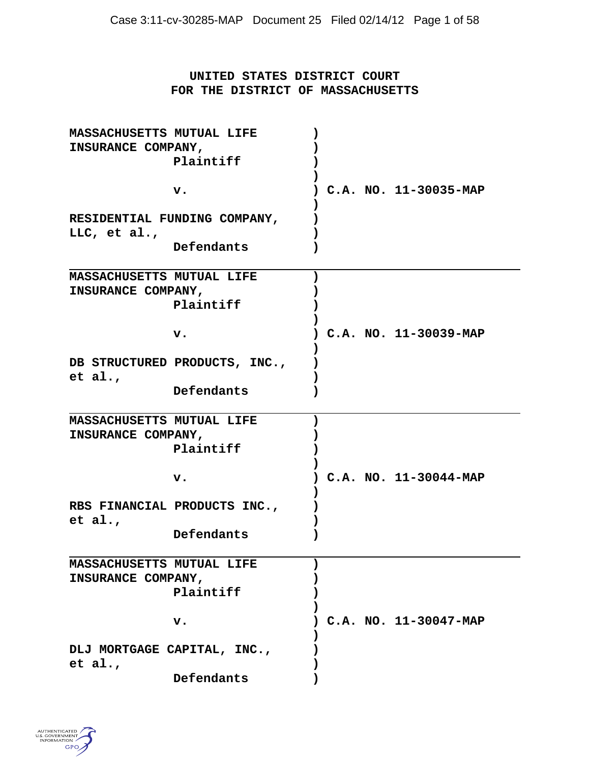# **UNITED STATES DISTRICT COURT FOR THE DISTRICT OF MASSACHUSETTS**

| MASSACHUSETTS MUTUAL LIFE<br>INSURANCE COMPANY,        |                               |  |  |                       |
|--------------------------------------------------------|-------------------------------|--|--|-----------------------|
|                                                        | Plaintiff                     |  |  |                       |
|                                                        | v.                            |  |  | C.A. NO. 11-30035-MAP |
| RESIDENTIAL FUNDING COMPANY,<br>LLC, et al.,           |                               |  |  |                       |
|                                                        | Defendants                    |  |  |                       |
| <b>MASSACHUSETTS MUTUAL LIFE</b><br>INSURANCE COMPANY, |                               |  |  |                       |
|                                                        | Plaintiff                     |  |  |                       |
|                                                        | v.                            |  |  | C.A. NO. 11-30039-MAP |
| et al.,                                                | DB STRUCTURED PRODUCTS, INC., |  |  |                       |
|                                                        | Defendants                    |  |  |                       |
| MASSACHUSETTS MUTUAL LIFE<br>INSURANCE COMPANY,        |                               |  |  |                       |
|                                                        | Plaintiff                     |  |  |                       |
|                                                        | v.                            |  |  | C.A. NO. 11-30044-MAP |
| et al.,                                                | RBS FINANCIAL PRODUCTS INC.,  |  |  |                       |
|                                                        | Defendants                    |  |  |                       |
| MASSACHUSETTS MUTUAL LIFE                              |                               |  |  |                       |
| INSURANCE COMPANY,                                     |                               |  |  |                       |
|                                                        | Plaintiff                     |  |  |                       |
|                                                        | v.                            |  |  | C.A. NO. 11-30047-MAP |
| DLJ MORTGAGE CAPITAL, INC.,<br>et al.,                 |                               |  |  |                       |
|                                                        | Defendants                    |  |  |                       |

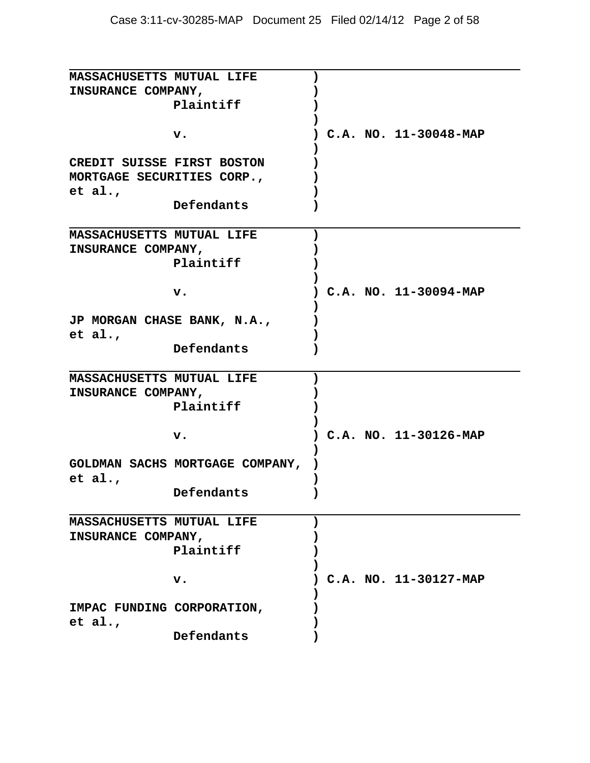| MASSACHUSETTS MUTUAL LIFE  |                                 |  |  |                         |
|----------------------------|---------------------------------|--|--|-------------------------|
| INSURANCE COMPANY,         |                                 |  |  |                         |
|                            | Plaintiff                       |  |  |                         |
|                            |                                 |  |  |                         |
|                            |                                 |  |  |                         |
|                            | $\mathbf v$ .                   |  |  | $C.A. NO. 11-30048-MAP$ |
|                            |                                 |  |  |                         |
| CREDIT SUISSE FIRST BOSTON |                                 |  |  |                         |
| MORTGAGE SECURITIES CORP., |                                 |  |  |                         |
| et al.,                    |                                 |  |  |                         |
|                            | Defendants                      |  |  |                         |
|                            |                                 |  |  |                         |
|                            |                                 |  |  |                         |
| MASSACHUSETTS MUTUAL LIFE  |                                 |  |  |                         |
| INSURANCE COMPANY,         |                                 |  |  |                         |
|                            | Plaintiff                       |  |  |                         |
|                            |                                 |  |  |                         |
|                            | v.                              |  |  | C.A. NO. 11-30094-MAP   |
|                            |                                 |  |  |                         |
|                            | JP MORGAN CHASE BANK, N.A.,     |  |  |                         |
|                            |                                 |  |  |                         |
| et al.,                    |                                 |  |  |                         |
|                            | Defendants                      |  |  |                         |
|                            |                                 |  |  |                         |
| MASSACHUSETTS MUTUAL LIFE  |                                 |  |  |                         |
| INSURANCE COMPANY,         |                                 |  |  |                         |
|                            | Plaintiff                       |  |  |                         |
|                            |                                 |  |  |                         |
|                            | v.                              |  |  | $C.A. NO. 11-30126-MAP$ |
|                            |                                 |  |  |                         |
|                            |                                 |  |  |                         |
|                            | GOLDMAN SACHS MORTGAGE COMPANY, |  |  |                         |
| et al.,                    |                                 |  |  |                         |
|                            | Defendants                      |  |  |                         |
|                            |                                 |  |  |                         |
| MASSACHUSETTS MUTUAL LIFE  |                                 |  |  |                         |
| INSURANCE COMPANY,         |                                 |  |  |                         |
|                            | Plaintiff                       |  |  |                         |
|                            |                                 |  |  |                         |
|                            |                                 |  |  |                         |
|                            | $\mathbf v$ .                   |  |  | C.A. NO. 11-30127-MAP   |
|                            |                                 |  |  |                         |
| IMPAC FUNDING CORPORATION, |                                 |  |  |                         |
| et al.,                    |                                 |  |  |                         |
|                            | Defendants                      |  |  |                         |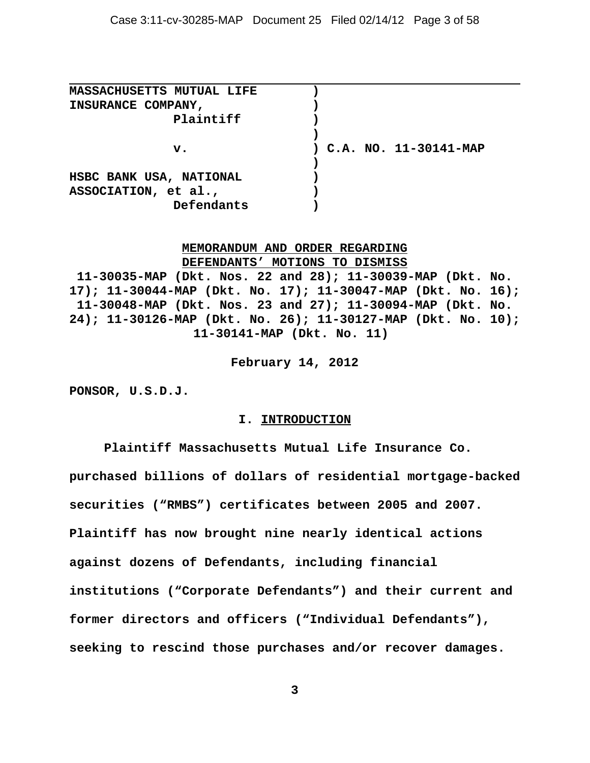| <b>MASSACHUSETTS MUTUAL LIFE</b> |                         |
|----------------------------------|-------------------------|
| INSURANCE COMPANY,               |                         |
| Plaintiff                        |                         |
|                                  |                         |
| $\mathbf{v}$ .                   | ) C.A. NO. 11-30141-MAP |
|                                  |                         |
| HSBC BANK USA, NATIONAL          |                         |
| ASSOCIATION, et al.,             |                         |
| Defendants                       |                         |

# **MEMORANDUM AND ORDER REGARDING DEFENDANTS' MOTIONS TO DISMISS**

**11-30035-MAP (Dkt. Nos. 22 and 28); 11-30039-MAP (Dkt. No. 17); 11-30044-MAP (Dkt. No. 17); 11-30047-MAP (Dkt. No. 16); 11-30048-MAP (Dkt. Nos. 23 and 27); 11-30094-MAP (Dkt. No. 24); 11-30126-MAP (Dkt. No. 26); 11-30127-MAP (Dkt. No. 10); 11-30141-MAP (Dkt. No. 11)** 

**February 14, 2012**

**PONSOR, U.S.D.J.**

#### **I. INTRODUCTION**

**Plaintiff Massachusetts Mutual Life Insurance Co. purchased billions of dollars of residential mortgage-backed securities ("RMBS") certificates between 2005 and 2007. Plaintiff has now brought nine nearly identical actions against dozens of Defendants, including financial institutions ("Corporate Defendants") and their current and former directors and officers ("Individual Defendants"), seeking to rescind those purchases and/or recover damages.**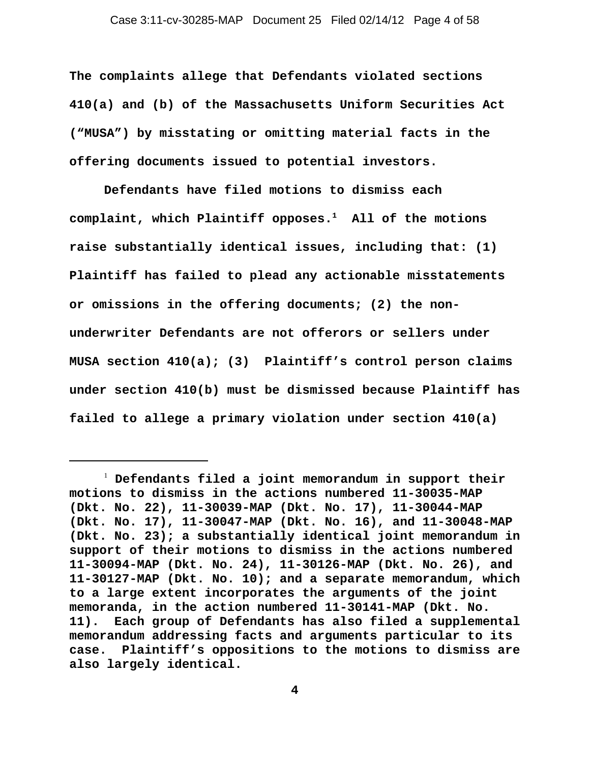**The complaints allege that Defendants violated sections 410(a) and (b) of the Massachusetts Uniform Securities Act ("MUSA") by misstating or omitting material facts in the offering documents issued to potential investors.** 

**Defendants have filed motions to dismiss each complaint, which Plaintiff opposes.1 All of the motions raise substantially identical issues, including that: (1) Plaintiff has failed to plead any actionable misstatements or omissions in the offering documents; (2) the nonunderwriter Defendants are not offerors or sellers under MUSA section 410(a); (3) Plaintiff's control person claims under section 410(b) must be dismissed because Plaintiff has failed to allege a primary violation under section 410(a)**

<sup>1</sup>  **Defendants filed a joint memorandum in support their motions to dismiss in the actions numbered 11-30035-MAP (Dkt. No. 22), 11-30039-MAP (Dkt. No. 17), 11-30044-MAP (Dkt. No. 17), 11-30047-MAP (Dkt. No. 16), and 11-30048-MAP (Dkt. No. 23); a substantially identical joint memorandum in support of their motions to dismiss in the actions numbered 11-30094-MAP (Dkt. No. 24), 11-30126-MAP (Dkt. No. 26), and 11-30127-MAP (Dkt. No. 10); and a separate memorandum, which to a large extent incorporates the arguments of the joint memoranda, in the action numbered 11-30141-MAP (Dkt. No. 11). Each group of Defendants has also filed a supplemental memorandum addressing facts and arguments particular to its case. Plaintiff's oppositions to the motions to dismiss are also largely identical.**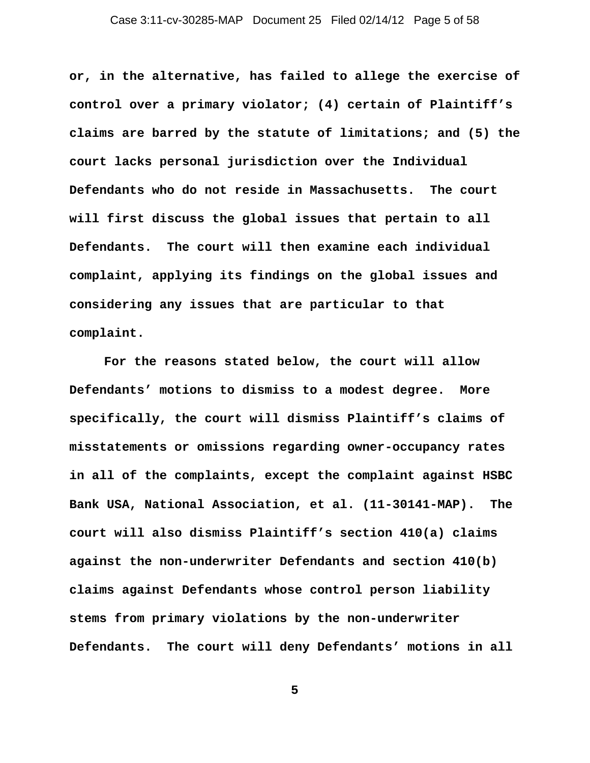**or, in the alternative, has failed to allege the exercise of control over a primary violator; (4) certain of Plaintiff's claims are barred by the statute of limitations; and (5) the court lacks personal jurisdiction over the Individual Defendants who do not reside in Massachusetts. The court will first discuss the global issues that pertain to all Defendants. The court will then examine each individual complaint, applying its findings on the global issues and considering any issues that are particular to that complaint.**

**For the reasons stated below, the court will allow Defendants' motions to dismiss to a modest degree. More specifically, the court will dismiss Plaintiff's claims of misstatements or omissions regarding owner-occupancy rates in all of the complaints, except the complaint against HSBC Bank USA, National Association, et al. (11-30141-MAP). The court will also dismiss Plaintiff's section 410(a) claims against the non-underwriter Defendants and section 410(b) claims against Defendants whose control person liability stems from primary violations by the non-underwriter Defendants. The court will deny Defendants' motions in all**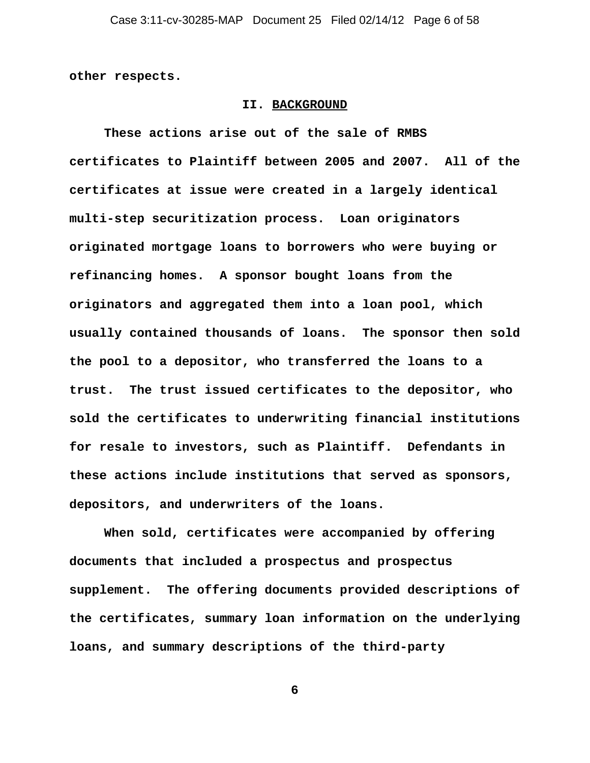**other respects.** 

#### **II. BACKGROUND**

**These actions arise out of the sale of RMBS certificates to Plaintiff between 2005 and 2007. All of the certificates at issue were created in a largely identical multi-step securitization process. Loan originators originated mortgage loans to borrowers who were buying or refinancing homes. A sponsor bought loans from the originators and aggregated them into a loan pool, which usually contained thousands of loans. The sponsor then sold the pool to a depositor, who transferred the loans to a trust. The trust issued certificates to the depositor, who sold the certificates to underwriting financial institutions for resale to investors, such as Plaintiff. Defendants in these actions include institutions that served as sponsors, depositors, and underwriters of the loans.** 

**When sold, certificates were accompanied by offering documents that included a prospectus and prospectus supplement. The offering documents provided descriptions of the certificates, summary loan information on the underlying loans, and summary descriptions of the third-party**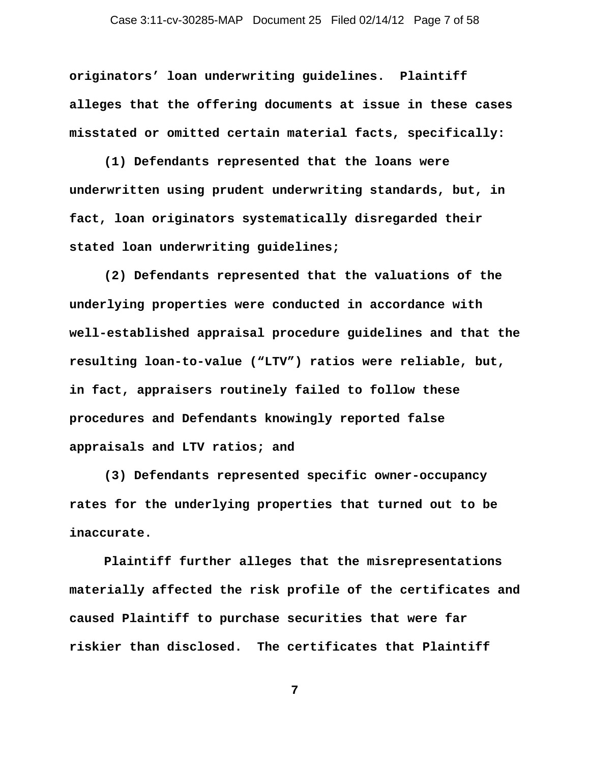**originators' loan underwriting guidelines. Plaintiff alleges that the offering documents at issue in these cases misstated or omitted certain material facts, specifically:**

**(1) Defendants represented that the loans were underwritten using prudent underwriting standards, but, in fact, loan originators systematically disregarded their stated loan underwriting guidelines;**

**(2) Defendants represented that the valuations of the underlying properties were conducted in accordance with well-established appraisal procedure guidelines and that the resulting loan-to-value ("LTV") ratios were reliable, but, in fact, appraisers routinely failed to follow these procedures and Defendants knowingly reported false appraisals and LTV ratios; and**

**(3) Defendants represented specific owner-occupancy rates for the underlying properties that turned out to be inaccurate.** 

**Plaintiff further alleges that the misrepresentations materially affected the risk profile of the certificates and caused Plaintiff to purchase securities that were far riskier than disclosed. The certificates that Plaintiff**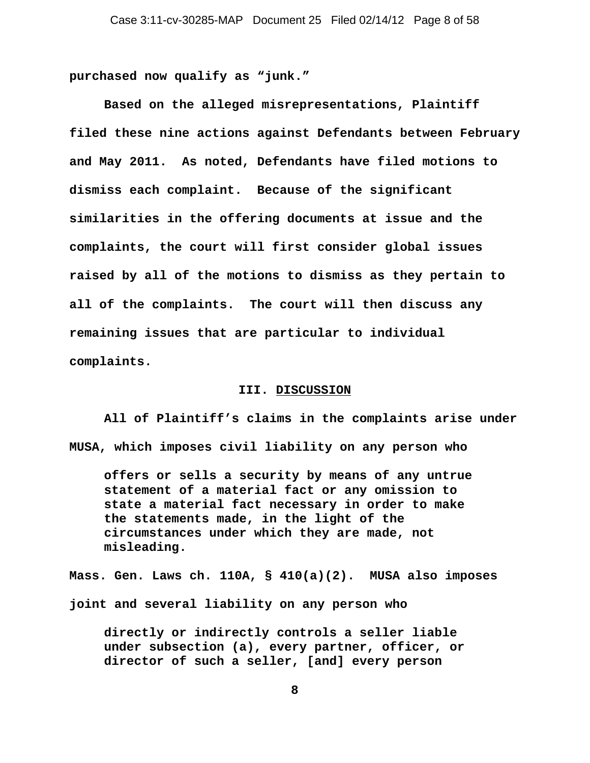**purchased now qualify as "junk."**

**Based on the alleged misrepresentations, Plaintiff filed these nine actions against Defendants between February and May 2011. As noted, Defendants have filed motions to dismiss each complaint. Because of the significant similarities in the offering documents at issue and the complaints, the court will first consider global issues raised by all of the motions to dismiss as they pertain to all of the complaints. The court will then discuss any remaining issues that are particular to individual complaints.** 

#### **III. DISCUSSION**

**All of Plaintiff's claims in the complaints arise under MUSA, which imposes civil liability on any person who** 

**offers or sells a security by means of any untrue statement of a material fact or any omission to state a material fact necessary in order to make the statements made, in the light of the circumstances under which they are made, not misleading.** 

**Mass. Gen. Laws ch. 110A, § 410(a)(2). MUSA also imposes joint and several liability on any person who** 

**directly or indirectly controls a seller liable under subsection (a), every partner, officer, or director of such a seller, [and] every person**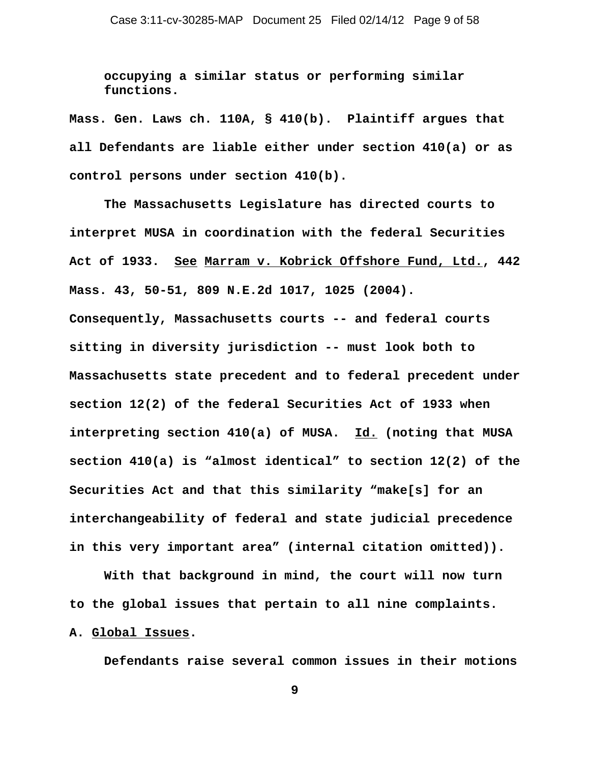**occupying a similar status or performing similar functions.** 

**Mass. Gen. Laws ch. 110A, § 410(b). Plaintiff argues that all Defendants are liable either under section 410(a) or as control persons under section 410(b).**

**The Massachusetts Legislature has directed courts to interpret MUSA in coordination with the federal Securities Act of 1933. See Marram v. Kobrick Offshore Fund, Ltd., 442 Mass. 43, 50-51, 809 N.E.2d 1017, 1025 (2004). Consequently, Massachusetts courts -- and federal courts sitting in diversity jurisdiction -- must look both to Massachusetts state precedent and to federal precedent under**

**section 12(2) of the federal Securities Act of 1933 when interpreting section 410(a) of MUSA. Id. (noting that MUSA section 410(a) is "almost identical" to section 12(2) of the Securities Act and that this similarity "make[s] for an interchangeability of federal and state judicial precedence in this very important area" (internal citation omitted)).** 

**With that background in mind, the court will now turn to the global issues that pertain to all nine complaints. A. Global Issues.**

**Defendants raise several common issues in their motions**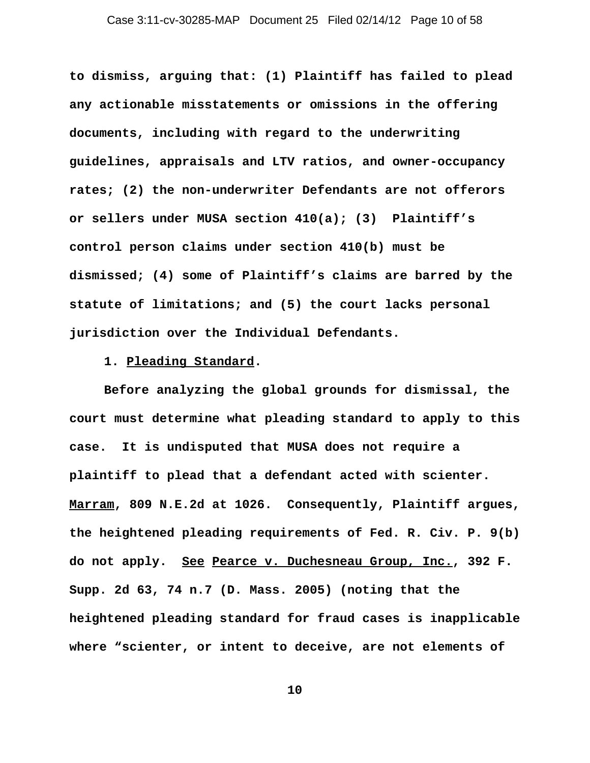**to dismiss, arguing that: (1) Plaintiff has failed to plead any actionable misstatements or omissions in the offering documents, including with regard to the underwriting guidelines, appraisals and LTV ratios, and owner-occupancy rates; (2) the non-underwriter Defendants are not offerors or sellers under MUSA section 410(a); (3) Plaintiff's control person claims under section 410(b) must be dismissed; (4) some of Plaintiff's claims are barred by the statute of limitations; and (5) the court lacks personal jurisdiction over the Individual Defendants.** 

**1. Pleading Standard.**

**Before analyzing the global grounds for dismissal, the court must determine what pleading standard to apply to this case. It is undisputed that MUSA does not require a plaintiff to plead that a defendant acted with scienter. Marram, 809 N.E.2d at 1026. Consequently, Plaintiff argues, the heightened pleading requirements of Fed. R. Civ. P. 9(b) do not apply. See Pearce v. Duchesneau Group, Inc., 392 F. Supp. 2d 63, 74 n.7 (D. Mass. 2005) (noting that the heightened pleading standard for fraud cases is inapplicable where "scienter, or intent to deceive, are not elements of**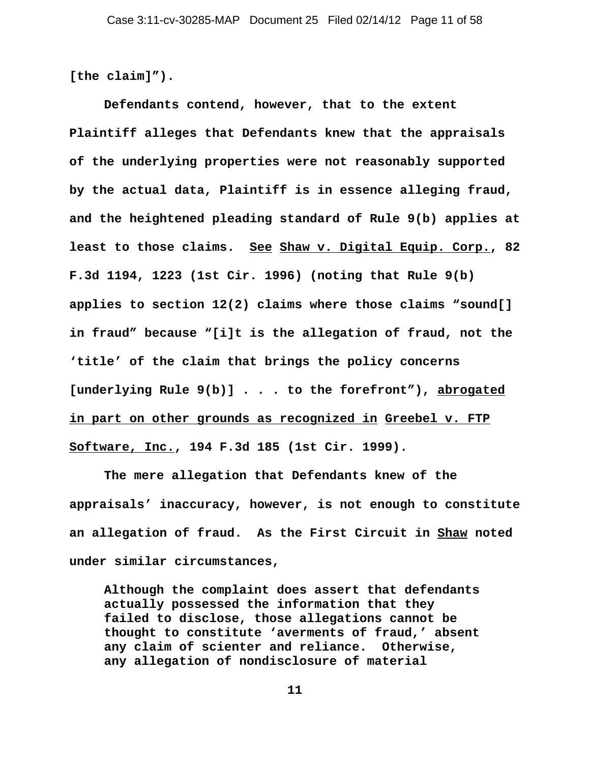**[the claim]").** 

**Defendants contend, however, that to the extent Plaintiff alleges that Defendants knew that the appraisals of the underlying properties were not reasonably supported by the actual data, Plaintiff is in essence alleging fraud, and the heightened pleading standard of Rule 9(b) applies at least to those claims. See Shaw v. Digital Equip. Corp., 82 F.3d 1194, 1223 (1st Cir. 1996) (noting that Rule 9(b) applies to section 12(2) claims where those claims "sound[] in fraud" because "[i]t is the allegation of fraud, not the 'title' of the claim that brings the policy concerns [underlying Rule 9(b)] . . . to the forefront"), abrogated in part on other grounds as recognized in Greebel v. FTP Software, Inc., 194 F.3d 185 (1st Cir. 1999).** 

**The mere allegation that Defendants knew of the appraisals' inaccuracy, however, is not enough to constitute an allegation of fraud. As the First Circuit in Shaw noted under similar circumstances,** 

**Although the complaint does assert that defendants actually possessed the information that they failed to disclose, those allegations cannot be thought to constitute 'averments of fraud,' absent any claim of scienter and reliance. Otherwise, any allegation of nondisclosure of material**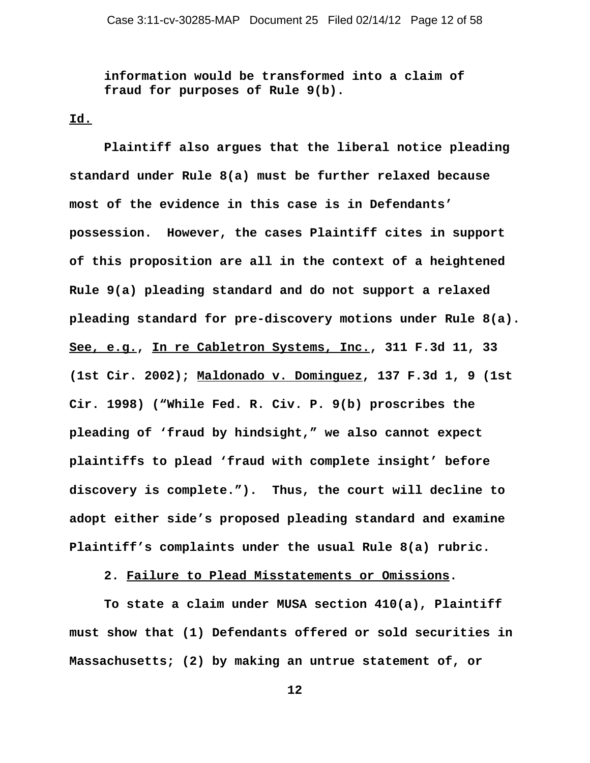**information would be transformed into a claim of fraud for purposes of Rule 9(b).** 

## **Id.**

**Plaintiff also argues that the liberal notice pleading standard under Rule 8(a) must be further relaxed because most of the evidence in this case is in Defendants' possession. However, the cases Plaintiff cites in support of this proposition are all in the context of a heightened Rule 9(a) pleading standard and do not support a relaxed pleading standard for pre-discovery motions under Rule 8(a). See, e.g., In re Cabletron Systems, Inc., 311 F.3d 11, 33 (1st Cir. 2002); Maldonado v. Dominguez, 137 F.3d 1, 9 (1st Cir. 1998) ("While Fed. R. Civ. P. 9(b) proscribes the pleading of 'fraud by hindsight," we also cannot expect plaintiffs to plead 'fraud with complete insight' before discovery is complete."). Thus, the court will decline to adopt either side's proposed pleading standard and examine Plaintiff's complaints under the usual Rule 8(a) rubric.** 

**2. Failure to Plead Misstatements or Omissions.** 

**To state a claim under MUSA section 410(a), Plaintiff must show that (1) Defendants offered or sold securities in Massachusetts; (2) by making an untrue statement of, or**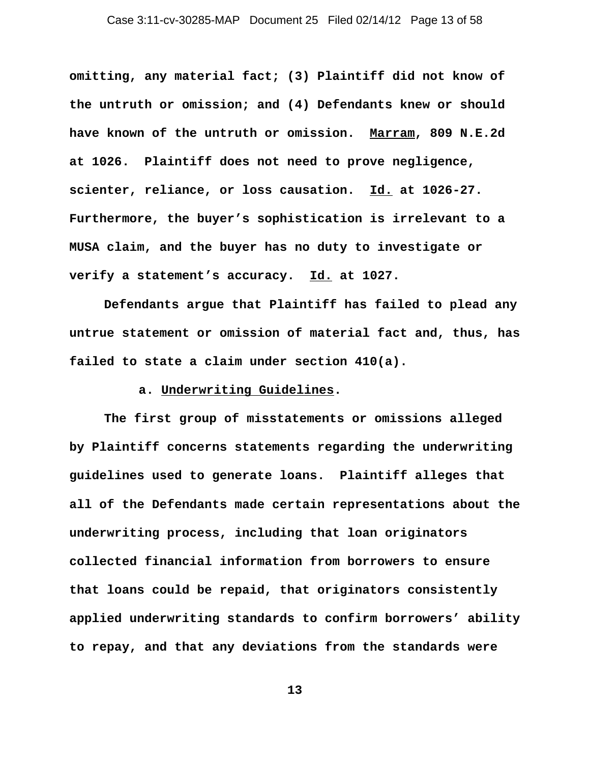**omitting, any material fact; (3) Plaintiff did not know of the untruth or omission; and (4) Defendants knew or should have known of the untruth or omission. Marram, 809 N.E.2d at 1026. Plaintiff does not need to prove negligence, scienter, reliance, or loss causation. Id. at 1026-27. Furthermore, the buyer's sophistication is irrelevant to a MUSA claim, and the buyer has no duty to investigate or verify a statement's accuracy. Id. at 1027.** 

**Defendants argue that Plaintiff has failed to plead any untrue statement or omission of material fact and, thus, has failed to state a claim under section 410(a).** 

# **a. Underwriting Guidelines.**

**The first group of misstatements or omissions alleged by Plaintiff concerns statements regarding the underwriting guidelines used to generate loans. Plaintiff alleges that all of the Defendants made certain representations about the underwriting process, including that loan originators collected financial information from borrowers to ensure that loans could be repaid, that originators consistently applied underwriting standards to confirm borrowers' ability to repay, and that any deviations from the standards were**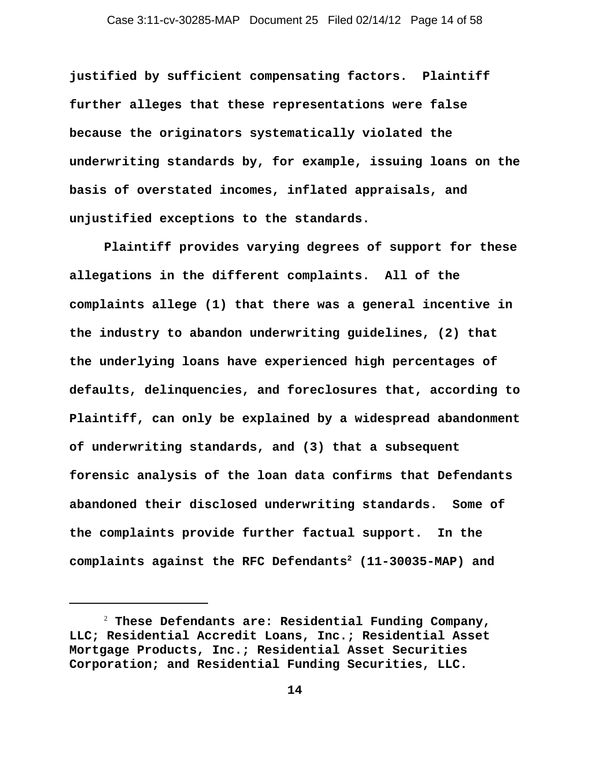**justified by sufficient compensating factors. Plaintiff further alleges that these representations were false because the originators systematically violated the underwriting standards by, for example, issuing loans on the basis of overstated incomes, inflated appraisals, and unjustified exceptions to the standards.** 

**Plaintiff provides varying degrees of support for these allegations in the different complaints. All of the complaints allege (1) that there was a general incentive in the industry to abandon underwriting guidelines, (2) that the underlying loans have experienced high percentages of defaults, delinquencies, and foreclosures that, according to Plaintiff, can only be explained by a widespread abandonment of underwriting standards, and (3) that a subsequent forensic analysis of the loan data confirms that Defendants abandoned their disclosed underwriting standards. Some of the complaints provide further factual support. In the complaints against the RFC Defendants2 (11-30035-MAP) and**

<sup>2</sup>  **These Defendants are: Residential Funding Company, LLC; Residential Accredit Loans, Inc.; Residential Asset Mortgage Products, Inc.; Residential Asset Securities Corporation; and Residential Funding Securities, LLC.**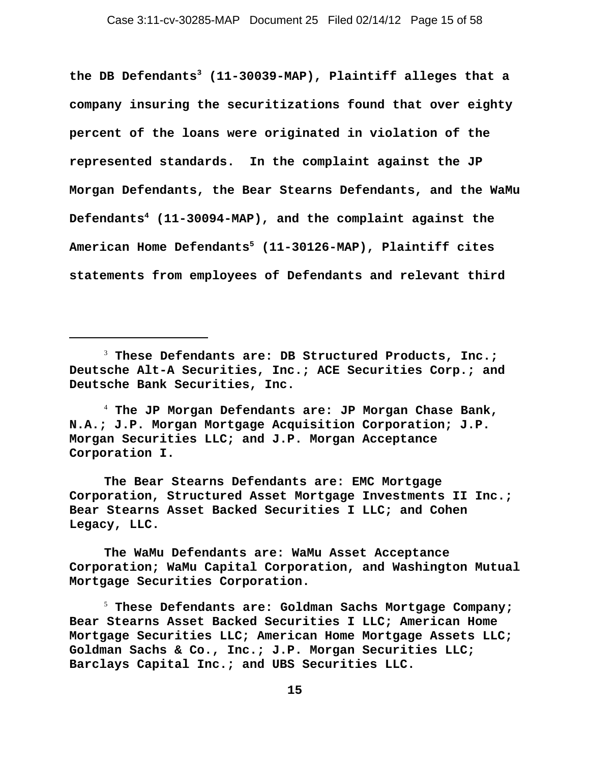**the DB Defendants3 (11-30039-MAP), Plaintiff alleges that a company insuring the securitizations found that over eighty percent of the loans were originated in violation of the represented standards. In the complaint against the JP Morgan Defendants, the Bear Stearns Defendants, and the WaMu Defendants4 (11-30094-MAP), and the complaint against the American Home Defendants5 (11-30126-MAP), Plaintiff cites statements from employees of Defendants and relevant third**

**The Bear Stearns Defendants are: EMC Mortgage Corporation, Structured Asset Mortgage Investments II Inc.; Bear Stearns Asset Backed Securities I LLC; and Cohen Legacy, LLC.**

**The WaMu Defendants are: WaMu Asset Acceptance Corporation; WaMu Capital Corporation, and Washington Mutual Mortgage Securities Corporation.** 

5  **These Defendants are: Goldman Sachs Mortgage Company; Bear Stearns Asset Backed Securities I LLC; American Home Mortgage Securities LLC; American Home Mortgage Assets LLC; Goldman Sachs & Co., Inc.; J.P. Morgan Securities LLC; Barclays Capital Inc.; and UBS Securities LLC.**

<sup>3</sup>  **These Defendants are: DB Structured Products, Inc.; Deutsche Alt-A Securities, Inc.; ACE Securities Corp.; and Deutsche Bank Securities, Inc.**

<sup>4</sup>  **The JP Morgan Defendants are: JP Morgan Chase Bank, N.A.; J.P. Morgan Mortgage Acquisition Corporation; J.P. Morgan Securities LLC; and J.P. Morgan Acceptance Corporation I.**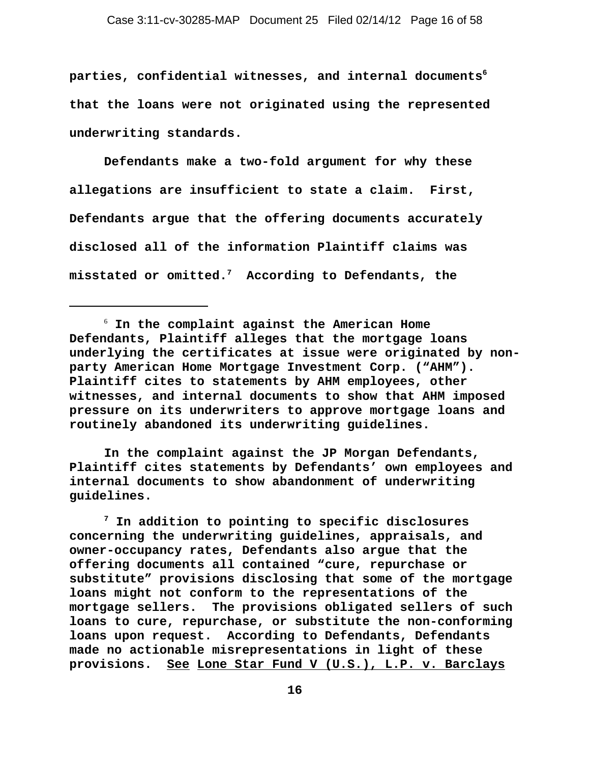parties, confidential witnesses, and internal documents<sup>6</sup> **that the loans were not originated using the represented underwriting standards.** 

**Defendants make a two-fold argument for why these allegations are insufficient to state a claim. First, Defendants argue that the offering documents accurately disclosed all of the information Plaintiff claims was misstated or omitted.7 According to Defendants, the**

**In the complaint against the JP Morgan Defendants, Plaintiff cites statements by Defendants' own employees and internal documents to show abandonment of underwriting guidelines.**

**7 In addition to pointing to specific disclosures concerning the underwriting guidelines, appraisals, and owner-occupancy rates, Defendants also argue that the offering documents all contained "cure, repurchase or substitute" provisions disclosing that some of the mortgage loans might not conform to the representations of the mortgage sellers. The provisions obligated sellers of such loans to cure, repurchase, or substitute the non-conforming loans upon request. According to Defendants, Defendants made no actionable misrepresentations in light of these provisions. See Lone Star Fund V (U.S.), L.P. v. Barclays**

<sup>6</sup>  **In the complaint against the American Home Defendants, Plaintiff alleges that the mortgage loans underlying the certificates at issue were originated by nonparty American Home Mortgage Investment Corp. ("AHM"). Plaintiff cites to statements by AHM employees, other witnesses, and internal documents to show that AHM imposed pressure on its underwriters to approve mortgage loans and routinely abandoned its underwriting guidelines.**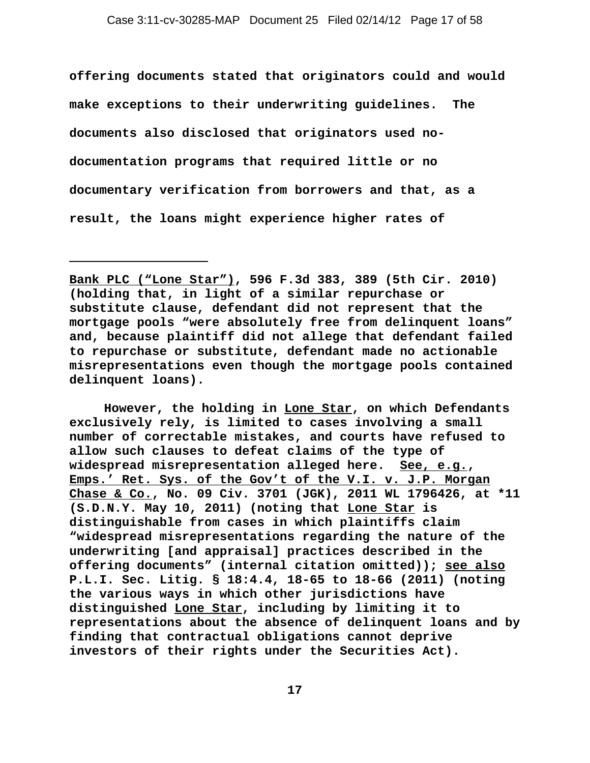**offering documents stated that originators could and would make exceptions to their underwriting guidelines. The documents also disclosed that originators used nodocumentation programs that required little or no documentary verification from borrowers and that, as a result, the loans might experience higher rates of**

**However, the holding in Lone Star, on which Defendants exclusively rely, is limited to cases involving a small number of correctable mistakes, and courts have refused to allow such clauses to defeat claims of the type of widespread misrepresentation alleged here. See, e.g., Emps.' Ret. Sys. of the Gov't of the V.I. v. J.P. Morgan Chase & Co., No. 09 Civ. 3701 (JGK), 2011 WL 1796426, at \*11 (S.D.N.Y. May 10, 2011) (noting that Lone Star is distinguishable from cases in which plaintiffs claim "widespread misrepresentations regarding the nature of the underwriting [and appraisal] practices described in the offering documents" (internal citation omitted)); see also P.L.I. Sec. Litig. § 18:4.4, 18-65 to 18-66 (2011) (noting the various ways in which other jurisdictions have distinguished Lone Star, including by limiting it to representations about the absence of delinquent loans and by finding that contractual obligations cannot deprive investors of their rights under the Securities Act).** 

**Bank PLC ("Lone Star"), 596 F.3d 383, 389 (5th Cir. 2010) (holding that, in light of a similar repurchase or substitute clause, defendant did not represent that the mortgage pools "were absolutely free from delinquent loans" and, because plaintiff did not allege that defendant failed to repurchase or substitute, defendant made no actionable misrepresentations even though the mortgage pools contained delinquent loans).**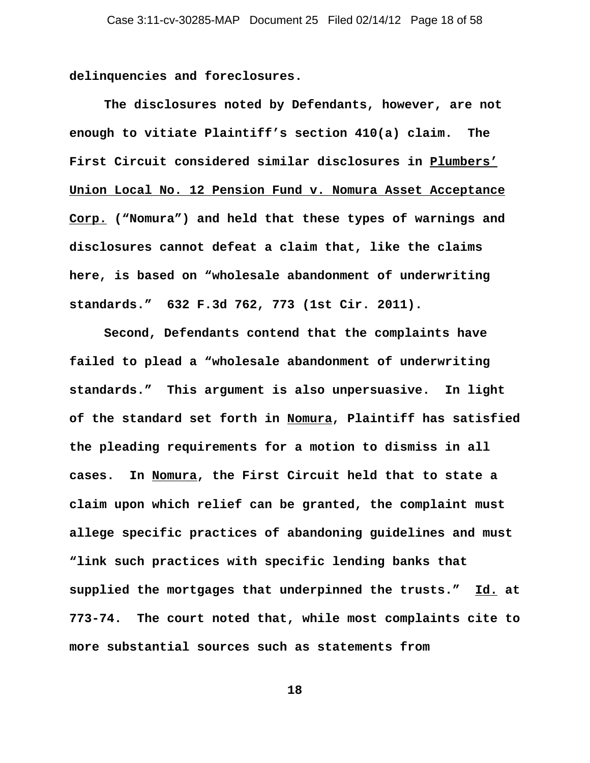**delinquencies and foreclosures.** 

**The disclosures noted by Defendants, however, are not enough to vitiate Plaintiff's section 410(a) claim. The First Circuit considered similar disclosures in Plumbers' Union Local No. 12 Pension Fund v. Nomura Asset Acceptance Corp. ("Nomura") and held that these types of warnings and disclosures cannot defeat a claim that, like the claims here, is based on "wholesale abandonment of underwriting standards." 632 F.3d 762, 773 (1st Cir. 2011).** 

**Second, Defendants contend that the complaints have failed to plead a "wholesale abandonment of underwriting standards." This argument is also unpersuasive. In light of the standard set forth in Nomura, Plaintiff has satisfied the pleading requirements for a motion to dismiss in all cases. In Nomura, the First Circuit held that to state a claim upon which relief can be granted, the complaint must allege specific practices of abandoning guidelines and must "link such practices with specific lending banks that supplied the mortgages that underpinned the trusts." Id. at 773-74. The court noted that, while most complaints cite to more substantial sources such as statements from**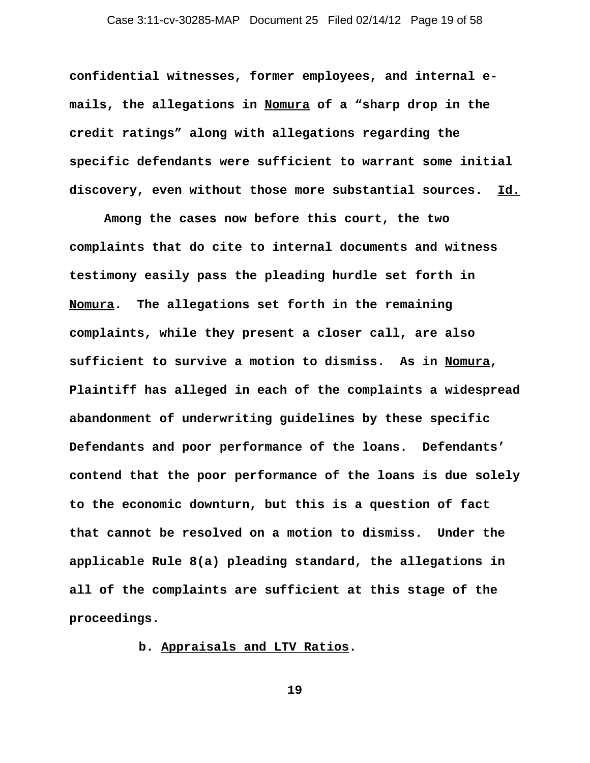**confidential witnesses, former employees, and internal emails, the allegations in Nomura of a "sharp drop in the credit ratings" along with allegations regarding the specific defendants were sufficient to warrant some initial discovery, even without those more substantial sources. Id.**

**Among the cases now before this court, the two complaints that do cite to internal documents and witness testimony easily pass the pleading hurdle set forth in Nomura. The allegations set forth in the remaining complaints, while they present a closer call, are also sufficient to survive a motion to dismiss. As in Nomura, Plaintiff has alleged in each of the complaints a widespread abandonment of underwriting guidelines by these specific Defendants and poor performance of the loans. Defendants' contend that the poor performance of the loans is due solely to the economic downturn, but this is a question of fact that cannot be resolved on a motion to dismiss. Under the applicable Rule 8(a) pleading standard, the allegations in all of the complaints are sufficient at this stage of the proceedings.** 

**b. Appraisals and LTV Ratios.**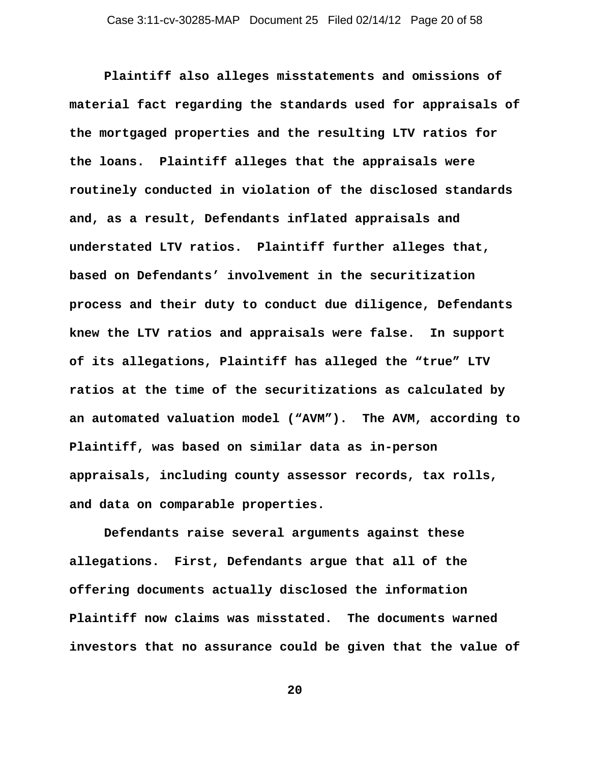**Plaintiff also alleges misstatements and omissions of material fact regarding the standards used for appraisals of the mortgaged properties and the resulting LTV ratios for the loans. Plaintiff alleges that the appraisals were routinely conducted in violation of the disclosed standards and, as a result, Defendants inflated appraisals and understated LTV ratios. Plaintiff further alleges that, based on Defendants' involvement in the securitization process and their duty to conduct due diligence, Defendants knew the LTV ratios and appraisals were false. In support of its allegations, Plaintiff has alleged the "true" LTV ratios at the time of the securitizations as calculated by an automated valuation model ("AVM"). The AVM, according to Plaintiff, was based on similar data as in-person appraisals, including county assessor records, tax rolls, and data on comparable properties.** 

**Defendants raise several arguments against these allegations. First, Defendants argue that all of the offering documents actually disclosed the information Plaintiff now claims was misstated. The documents warned investors that no assurance could be given that the value of**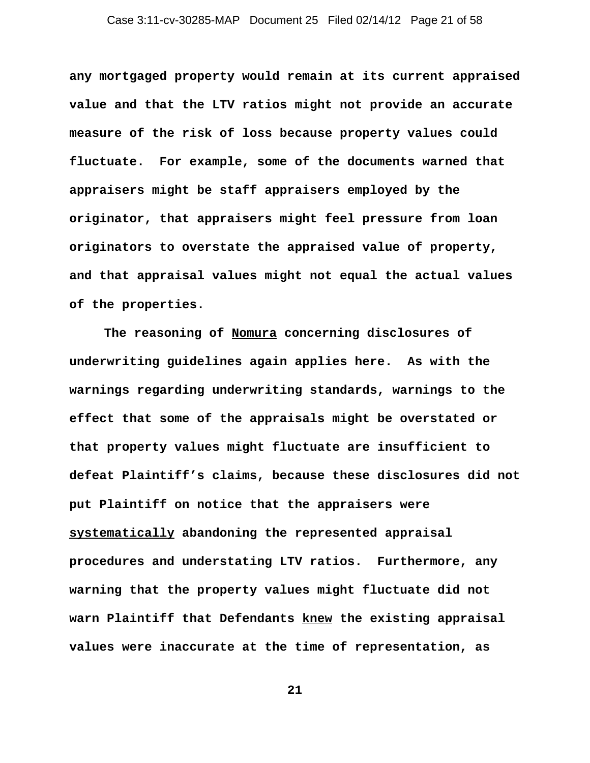**any mortgaged property would remain at its current appraised value and that the LTV ratios might not provide an accurate measure of the risk of loss because property values could fluctuate. For example, some of the documents warned that appraisers might be staff appraisers employed by the originator, that appraisers might feel pressure from loan originators to overstate the appraised value of property, and that appraisal values might not equal the actual values of the properties.** 

**The reasoning of Nomura concerning disclosures of underwriting guidelines again applies here. As with the warnings regarding underwriting standards, warnings to the effect that some of the appraisals might be overstated or that property values might fluctuate are insufficient to defeat Plaintiff's claims, because these disclosures did not put Plaintiff on notice that the appraisers were systematically abandoning the represented appraisal procedures and understating LTV ratios. Furthermore, any warning that the property values might fluctuate did not warn Plaintiff that Defendants knew the existing appraisal values were inaccurate at the time of representation, as**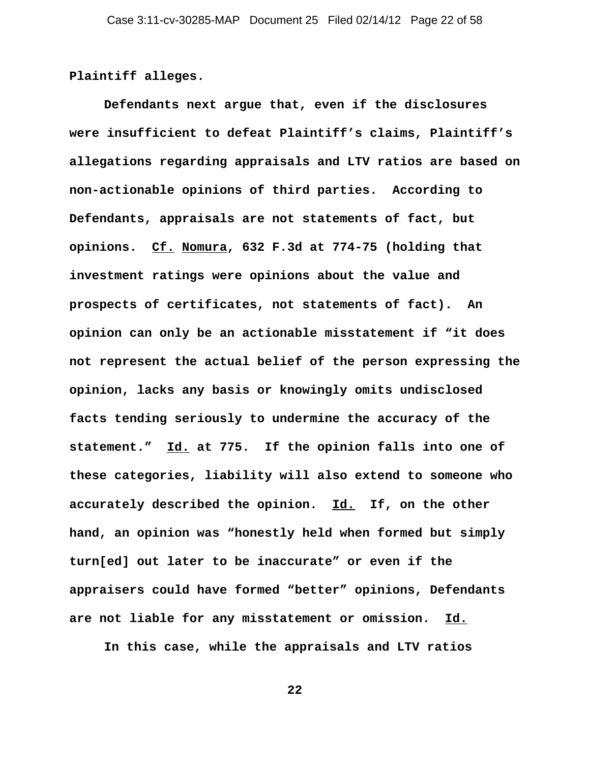**Plaintiff alleges.** 

**Defendants next argue that, even if the disclosures were insufficient to defeat Plaintiff's claims, Plaintiff's allegations regarding appraisals and LTV ratios are based on non-actionable opinions of third parties. According to Defendants, appraisals are not statements of fact, but opinions. Cf. Nomura, 632 F.3d at 774-75 (holding that investment ratings were opinions about the value and prospects of certificates, not statements of fact). An opinion can only be an actionable misstatement if "it does not represent the actual belief of the person expressing the opinion, lacks any basis or knowingly omits undisclosed facts tending seriously to undermine the accuracy of the statement." Id. at 775. If the opinion falls into one of these categories, liability will also extend to someone who accurately described the opinion. Id. If, on the other hand, an opinion was "honestly held when formed but simply turn[ed] out later to be inaccurate" or even if the appraisers could have formed "better" opinions, Defendants are not liable for any misstatement or omission. Id.**

**In this case, while the appraisals and LTV ratios**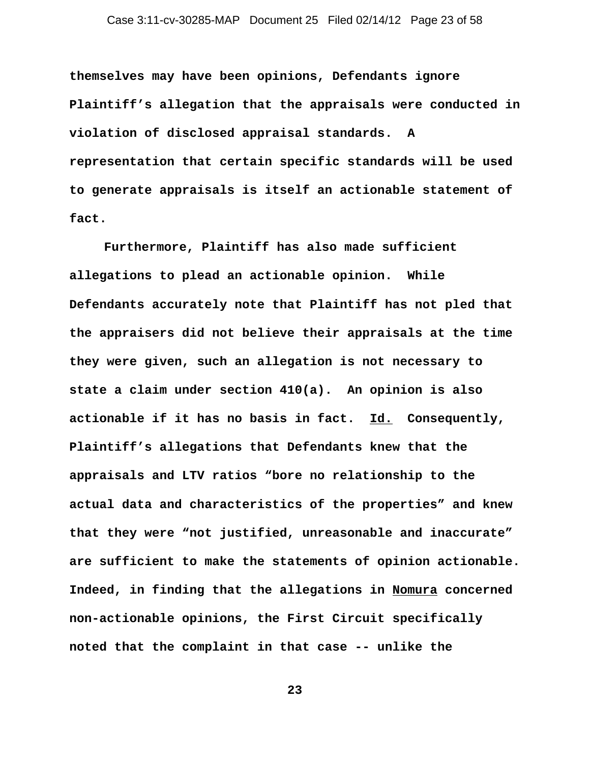**themselves may have been opinions, Defendants ignore Plaintiff's allegation that the appraisals were conducted in violation of disclosed appraisal standards. A representation that certain specific standards will be used to generate appraisals is itself an actionable statement of fact.** 

**Furthermore, Plaintiff has also made sufficient allegations to plead an actionable opinion. While Defendants accurately note that Plaintiff has not pled that the appraisers did not believe their appraisals at the time they were given, such an allegation is not necessary to state a claim under section 410(a). An opinion is also actionable if it has no basis in fact. Id. Consequently, Plaintiff's allegations that Defendants knew that the appraisals and LTV ratios "bore no relationship to the actual data and characteristics of the properties" and knew that they were "not justified, unreasonable and inaccurate" are sufficient to make the statements of opinion actionable. Indeed, in finding that the allegations in Nomura concerned non-actionable opinions, the First Circuit specifically noted that the complaint in that case -- unlike the**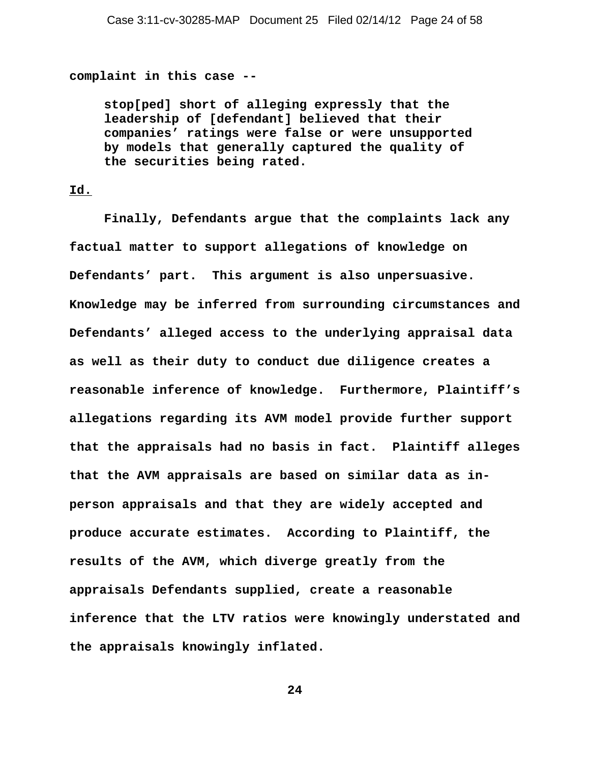**complaint in this case --** 

**stop[ped] short of alleging expressly that the leadership of [defendant] believed that their companies' ratings were false or were unsupported by models that generally captured the quality of the securities being rated.**

## **Id.**

**Finally, Defendants argue that the complaints lack any factual matter to support allegations of knowledge on Defendants' part. This argument is also unpersuasive. Knowledge may be inferred from surrounding circumstances and Defendants' alleged access to the underlying appraisal data as well as their duty to conduct due diligence creates a reasonable inference of knowledge. Furthermore, Plaintiff's allegations regarding its AVM model provide further support that the appraisals had no basis in fact. Plaintiff alleges that the AVM appraisals are based on similar data as inperson appraisals and that they are widely accepted and produce accurate estimates. According to Plaintiff, the results of the AVM, which diverge greatly from the appraisals Defendants supplied, create a reasonable inference that the LTV ratios were knowingly understated and the appraisals knowingly inflated.**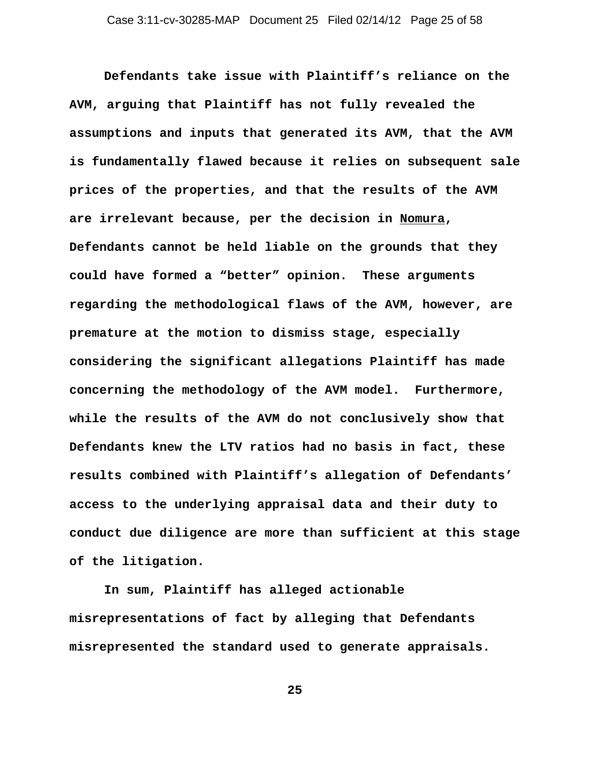**Defendants take issue with Plaintiff's reliance on the AVM, arguing that Plaintiff has not fully revealed the assumptions and inputs that generated its AVM, that the AVM is fundamentally flawed because it relies on subsequent sale prices of the properties, and that the results of the AVM are irrelevant because, per the decision in Nomura, Defendants cannot be held liable on the grounds that they could have formed a "better" opinion. These arguments regarding the methodological flaws of the AVM, however, are premature at the motion to dismiss stage, especially considering the significant allegations Plaintiff has made concerning the methodology of the AVM model. Furthermore, while the results of the AVM do not conclusively show that Defendants knew the LTV ratios had no basis in fact, these results combined with Plaintiff's allegation of Defendants' access to the underlying appraisal data and their duty to conduct due diligence are more than sufficient at this stage of the litigation.** 

**In sum, Plaintiff has alleged actionable misrepresentations of fact by alleging that Defendants misrepresented the standard used to generate appraisals.**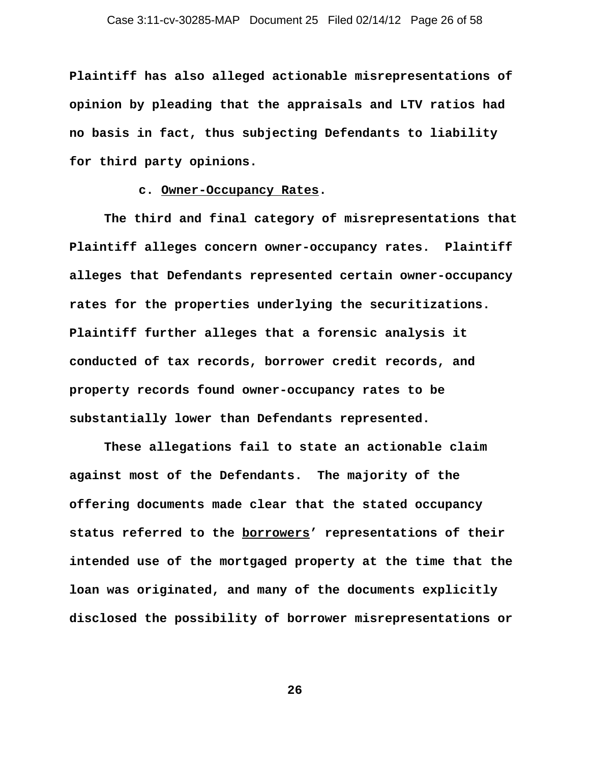**Plaintiff has also alleged actionable misrepresentations of opinion by pleading that the appraisals and LTV ratios had no basis in fact, thus subjecting Defendants to liability for third party opinions.** 

#### **c. Owner-Occupancy Rates.**

**The third and final category of misrepresentations that Plaintiff alleges concern owner-occupancy rates. Plaintiff alleges that Defendants represented certain owner-occupancy rates for the properties underlying the securitizations. Plaintiff further alleges that a forensic analysis it conducted of tax records, borrower credit records, and property records found owner-occupancy rates to be substantially lower than Defendants represented.**

**These allegations fail to state an actionable claim against most of the Defendants. The majority of the offering documents made clear that the stated occupancy status referred to the borrowers' representations of their intended use of the mortgaged property at the time that the loan was originated, and many of the documents explicitly disclosed the possibility of borrower misrepresentations or**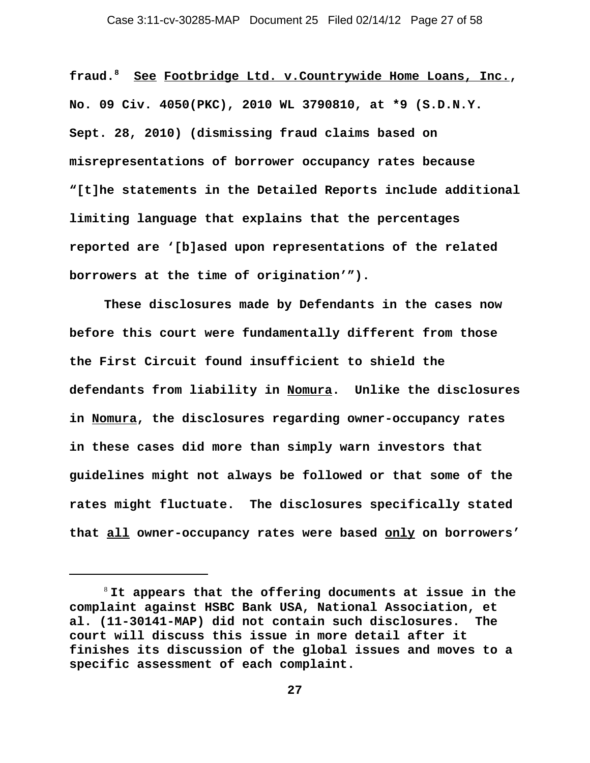**fraud.8 See Footbridge Ltd. v.Countrywide Home Loans, Inc., No. 09 Civ. 4050(PKC), 2010 WL 3790810, at \*9 (S.D.N.Y. Sept. 28, 2010) (dismissing fraud claims based on misrepresentations of borrower occupancy rates because "[t]he statements in the Detailed Reports include additional limiting language that explains that the percentages reported are '[b]ased upon representations of the related borrowers at the time of origination'").** 

**These disclosures made by Defendants in the cases now before this court were fundamentally different from those the First Circuit found insufficient to shield the defendants from liability in Nomura. Unlike the disclosures in Nomura, the disclosures regarding owner-occupancy rates in these cases did more than simply warn investors that guidelines might not always be followed or that some of the rates might fluctuate. The disclosures specifically stated that all owner-occupancy rates were based only on borrowers'**

<sup>8</sup> **It appears that the offering documents at issue in the complaint against HSBC Bank USA, National Association, et al. (11-30141-MAP) did not contain such disclosures. The court will discuss this issue in more detail after it finishes its discussion of the global issues and moves to a specific assessment of each complaint.**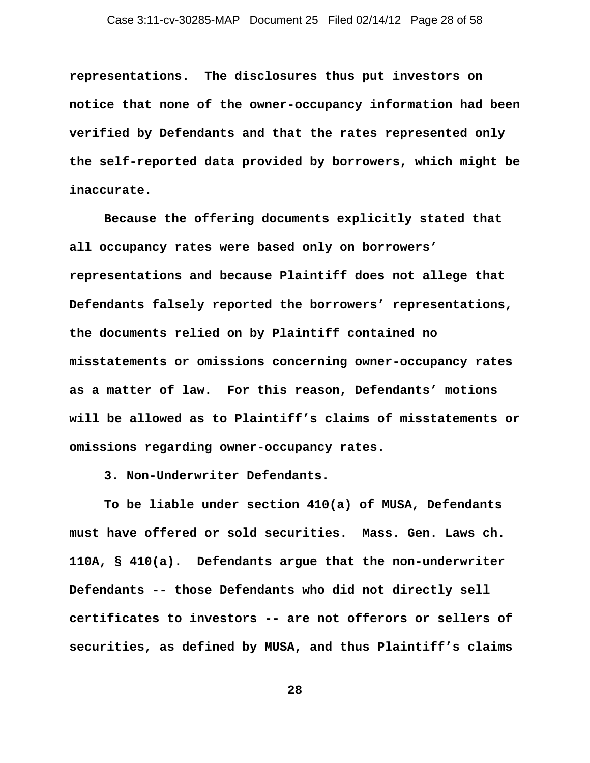**representations. The disclosures thus put investors on notice that none of the owner-occupancy information had been verified by Defendants and that the rates represented only the self-reported data provided by borrowers, which might be inaccurate.** 

**Because the offering documents explicitly stated that all occupancy rates were based only on borrowers' representations and because Plaintiff does not allege that Defendants falsely reported the borrowers' representations, the documents relied on by Plaintiff contained no misstatements or omissions concerning owner-occupancy rates as a matter of law. For this reason, Defendants' motions will be allowed as to Plaintiff's claims of misstatements or omissions regarding owner-occupancy rates.** 

**3. Non-Underwriter Defendants.**

**To be liable under section 410(a) of MUSA, Defendants must have offered or sold securities. Mass. Gen. Laws ch. 110A, § 410(a). Defendants argue that the non-underwriter Defendants -- those Defendants who did not directly sell certificates to investors -- are not offerors or sellers of securities, as defined by MUSA, and thus Plaintiff's claims**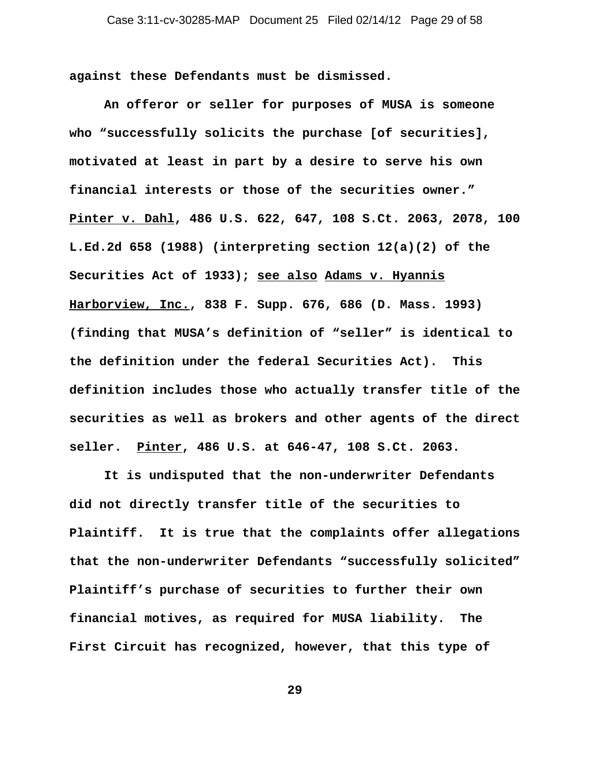**against these Defendants must be dismissed.** 

**An offeror or seller for purposes of MUSA is someone who "successfully solicits the purchase [of securities], motivated at least in part by a desire to serve his own financial interests or those of the securities owner." Pinter v. Dahl, 486 U.S. 622, 647, 108 S.Ct. 2063, 2078, 100 L.Ed.2d 658 (1988) (interpreting section 12(a)(2) of the Securities Act of 1933); see also Adams v. Hyannis Harborview, Inc., 838 F. Supp. 676, 686 (D. Mass. 1993) (finding that MUSA's definition of "seller" is identical to the definition under the federal Securities Act). This definition includes those who actually transfer title of the securities as well as brokers and other agents of the direct seller. Pinter, 486 U.S. at 646-47, 108 S.Ct. 2063.** 

**It is undisputed that the non-underwriter Defendants did not directly transfer title of the securities to Plaintiff. It is true that the complaints offer allegations that the non-underwriter Defendants "successfully solicited" Plaintiff's purchase of securities to further their own financial motives, as required for MUSA liability. The First Circuit has recognized, however, that this type of**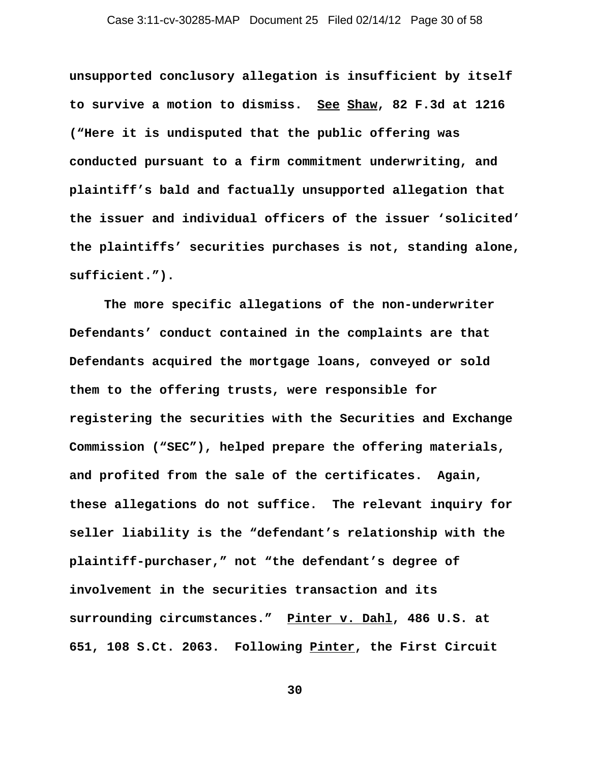**unsupported conclusory allegation is insufficient by itself to survive a motion to dismiss. See Shaw, 82 F.3d at 1216 ("Here it is undisputed that the public offering was conducted pursuant to a firm commitment underwriting, and plaintiff's bald and factually unsupported allegation that the issuer and individual officers of the issuer 'solicited' the plaintiffs' securities purchases is not, standing alone, sufficient.").**

**The more specific allegations of the non-underwriter Defendants' conduct contained in the complaints are that Defendants acquired the mortgage loans, conveyed or sold them to the offering trusts, were responsible for registering the securities with the Securities and Exchange Commission ("SEC"), helped prepare the offering materials, and profited from the sale of the certificates. Again, these allegations do not suffice. The relevant inquiry for seller liability is the "defendant's relationship with the plaintiff-purchaser," not "the defendant's degree of involvement in the securities transaction and its surrounding circumstances." Pinter v. Dahl, 486 U.S. at 651, 108 S.Ct. 2063. Following Pinter, the First Circuit**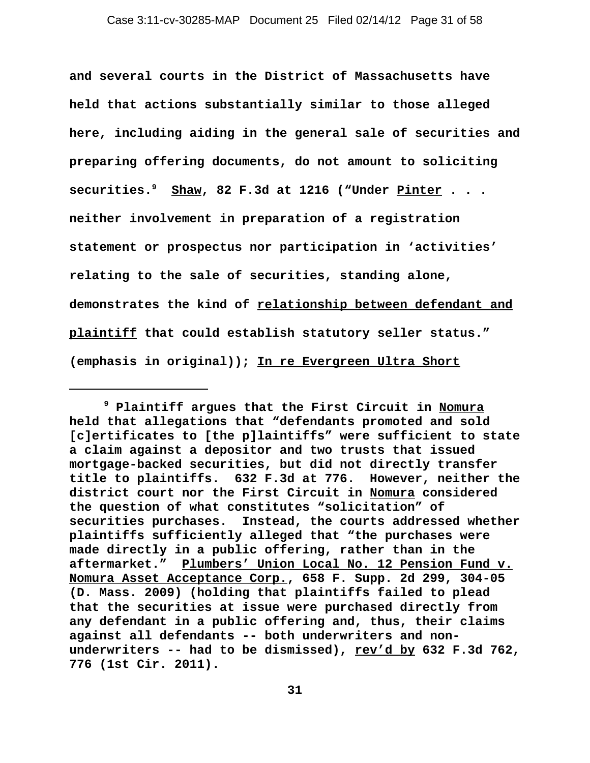**and several courts in the District of Massachusetts have held that actions substantially similar to those alleged here, including aiding in the general sale of securities and preparing offering documents, do not amount to soliciting securities.9 Shaw, 82 F.3d at 1216 ("Under Pinter . . . neither involvement in preparation of a registration statement or prospectus nor participation in 'activities' relating to the sale of securities, standing alone, demonstrates the kind of relationship between defendant and plaintiff that could establish statutory seller status." (emphasis in original)); In re Evergreen Ultra Short**

**<sup>9</sup> Plaintiff argues that the First Circuit in Nomura held that allegations that "defendants promoted and sold [c]ertificates to [the p]laintiffs" were sufficient to state a claim against a depositor and two trusts that issued mortgage-backed securities, but did not directly transfer title to plaintiffs. 632 F.3d at 776. However, neither the district court nor the First Circuit in Nomura considered the question of what constitutes "solicitation" of securities purchases. Instead, the courts addressed whether plaintiffs sufficiently alleged that "the purchases were made directly in a public offering, rather than in the aftermarket." Plumbers' Union Local No. 12 Pension Fund v. Nomura Asset Acceptance Corp., 658 F. Supp. 2d 299, 304-05 (D. Mass. 2009) (holding that plaintiffs failed to plead that the securities at issue were purchased directly from any defendant in a public offering and, thus, their claims against all defendants -- both underwriters and non**underwriters -- had to be dismissed), rev'd by 632 F.3d 762, **776 (1st Cir. 2011).**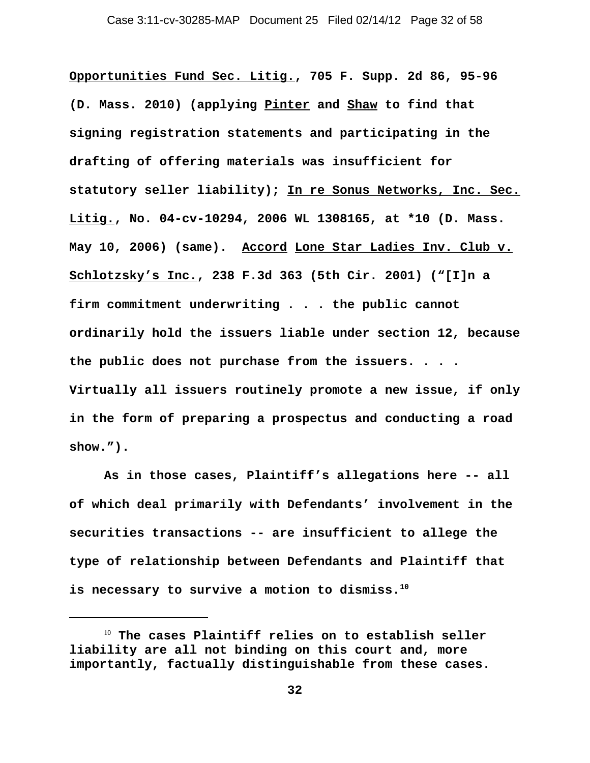**Opportunities Fund Sec. Litig., 705 F. Supp. 2d 86, 95-96 (D. Mass. 2010) (applying Pinter and Shaw to find that signing registration statements and participating in the drafting of offering materials was insufficient for statutory seller liability); In re Sonus Networks, Inc. Sec. Litig., No. 04-cv-10294, 2006 WL 1308165, at \*10 (D. Mass. May 10, 2006) (same). Accord Lone Star Ladies Inv. Club v. Schlotzsky's Inc., 238 F.3d 363 (5th Cir. 2001) ("[I]n a firm commitment underwriting . . . the public cannot ordinarily hold the issuers liable under section 12, because the public does not purchase from the issuers. . . . Virtually all issuers routinely promote a new issue, if only in the form of preparing a prospectus and conducting a road show.").** 

**As in those cases, Plaintiff's allegations here -- all of which deal primarily with Defendants' involvement in the securities transactions -- are insufficient to allege the type of relationship between Defendants and Plaintiff that is necessary to survive a motion to dismiss.10**

<sup>10</sup> **The cases Plaintiff relies on to establish seller liability are all not binding on this court and, more importantly, factually distinguishable from these cases.**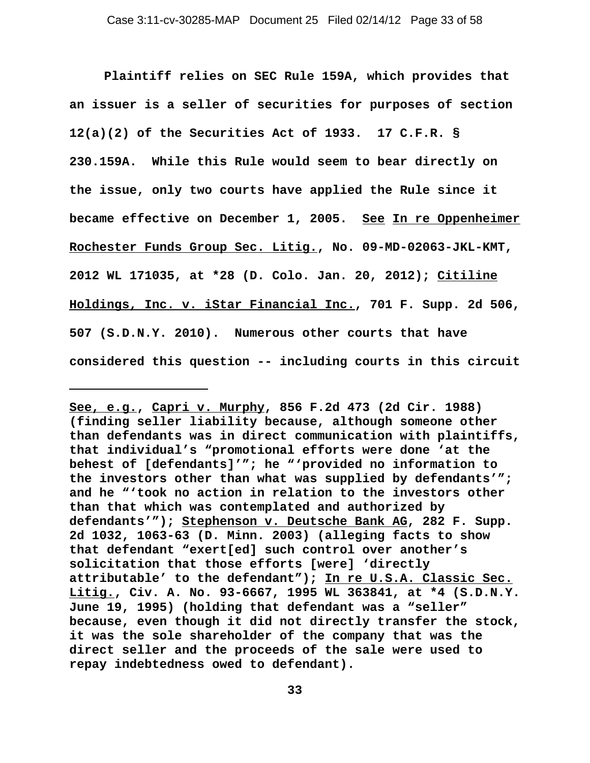**Plaintiff relies on SEC Rule 159A, which provides that an issuer is a seller of securities for purposes of section 12(a)(2) of the Securities Act of 1933. 17 C.F.R. § 230.159A. While this Rule would seem to bear directly on the issue, only two courts have applied the Rule since it became effective on December 1, 2005. See In re Oppenheimer Rochester Funds Group Sec. Litig., No. 09-MD-02063-JKL-KMT, 2012 WL 171035, at \*28 (D. Colo. Jan. 20, 2012); Citiline Holdings, Inc. v. iStar Financial Inc., 701 F. Supp. 2d 506, 507 (S.D.N.Y. 2010). Numerous other courts that have considered this question -- including courts in this circuit**

**See, e.g., Capri v. Murphy, 856 F.2d 473 (2d Cir. 1988) (finding seller liability because, although someone other than defendants was in direct communication with plaintiffs, that individual's "promotional efforts were done 'at the behest of [defendants]'"; he "'provided no information to the investors other than what was supplied by defendants'"; and he "'took no action in relation to the investors other than that which was contemplated and authorized by defendants'"); Stephenson v. Deutsche Bank AG, 282 F. Supp. 2d 1032, 1063-63 (D. Minn. 2003) (alleging facts to show that defendant "exert[ed] such control over another's solicitation that those efforts [were] 'directly attributable' to the defendant"); In re U.S.A. Classic Sec. Litig., Civ. A. No. 93-6667, 1995 WL 363841, at \*4 (S.D.N.Y. June 19, 1995) (holding that defendant was a "seller" because, even though it did not directly transfer the stock, it was the sole shareholder of the company that was the direct seller and the proceeds of the sale were used to repay indebtedness owed to defendant).**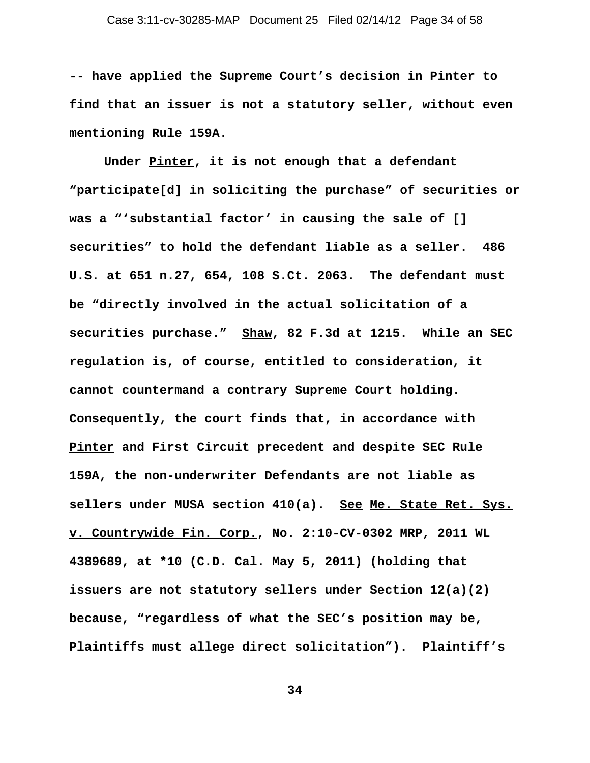**-- have applied the Supreme Court's decision in Pinter to find that an issuer is not a statutory seller, without even mentioning Rule 159A.** 

**Under Pinter, it is not enough that a defendant "participate[d] in soliciting the purchase" of securities or was a "'substantial factor' in causing the sale of [] securities" to hold the defendant liable as a seller. 486 U.S. at 651 n.27, 654, 108 S.Ct. 2063. The defendant must be "directly involved in the actual solicitation of a securities purchase." Shaw, 82 F.3d at 1215. While an SEC regulation is, of course, entitled to consideration, it cannot countermand a contrary Supreme Court holding. Consequently, the court finds that, in accordance with Pinter and First Circuit precedent and despite SEC Rule 159A, the non-underwriter Defendants are not liable as sellers under MUSA section 410(a). See Me. State Ret. Sys. v. Countrywide Fin. Corp., No. 2:10-CV-0302 MRP, 2011 WL 4389689, at \*10 (C.D. Cal. May 5, 2011) (holding that issuers are not statutory sellers under Section 12(a)(2) because, "regardless of what the SEC's position may be, Plaintiffs must allege direct solicitation"). Plaintiff's**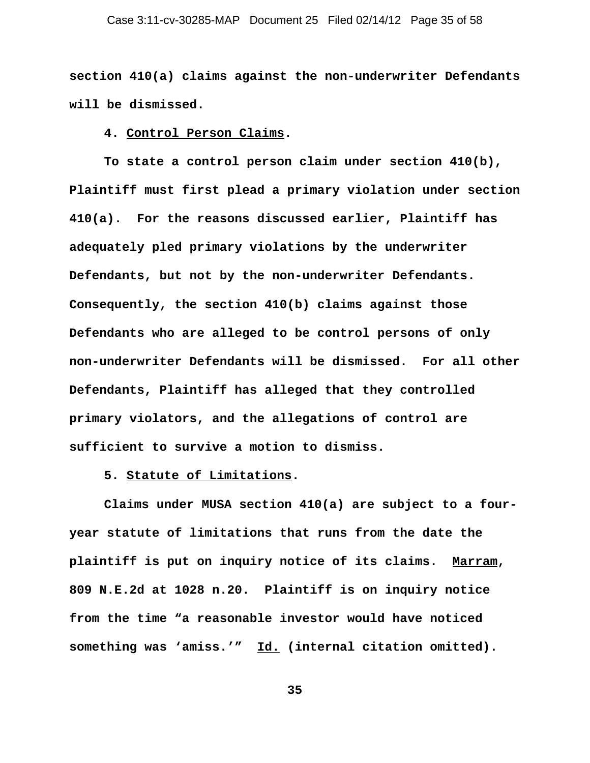**section 410(a) claims against the non-underwriter Defendants will be dismissed.** 

#### **4. Control Person Claims.**

**To state a control person claim under section 410(b), Plaintiff must first plead a primary violation under section 410(a). For the reasons discussed earlier, Plaintiff has adequately pled primary violations by the underwriter Defendants, but not by the non-underwriter Defendants. Consequently, the section 410(b) claims against those Defendants who are alleged to be control persons of only non-underwriter Defendants will be dismissed. For all other Defendants, Plaintiff has alleged that they controlled primary violators, and the allegations of control are sufficient to survive a motion to dismiss.** 

#### **5. Statute of Limitations.**

**Claims under MUSA section 410(a) are subject to a fouryear statute of limitations that runs from the date the plaintiff is put on inquiry notice of its claims. Marram, 809 N.E.2d at 1028 n.20. Plaintiff is on inquiry notice from the time "a reasonable investor would have noticed something was 'amiss.'" Id. (internal citation omitted).**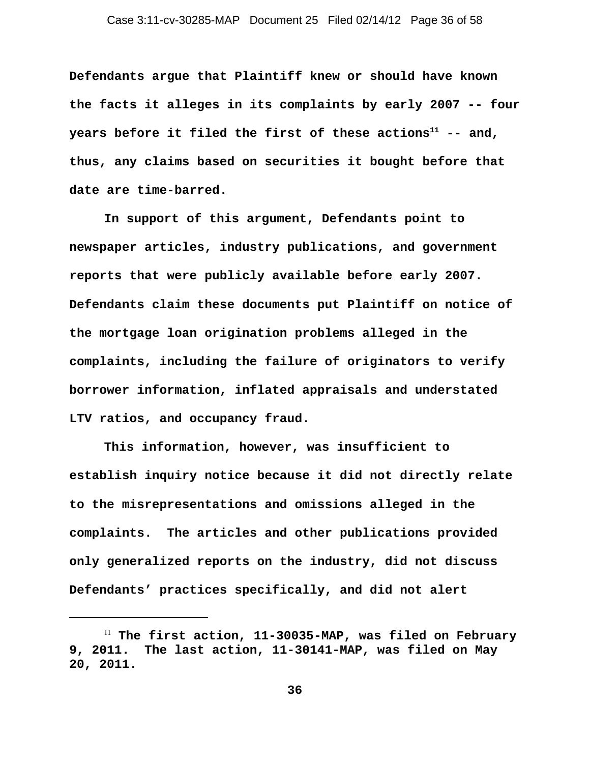**Defendants argue that Plaintiff knew or should have known the facts it alleges in its complaints by early 2007 -- four** years before it filed the first of these actions<sup>11</sup> -- and, **thus, any claims based on securities it bought before that date are time-barred.** 

 **In support of this argument, Defendants point to newspaper articles, industry publications, and government reports that were publicly available before early 2007. Defendants claim these documents put Plaintiff on notice of the mortgage loan origination problems alleged in the complaints, including the failure of originators to verify borrower information, inflated appraisals and understated LTV ratios, and occupancy fraud.** 

**This information, however, was insufficient to establish inquiry notice because it did not directly relate to the misrepresentations and omissions alleged in the complaints. The articles and other publications provided only generalized reports on the industry, did not discuss Defendants' practices specifically, and did not alert**

<sup>11</sup> **The first action, 11-30035-MAP, was filed on February 9, 2011. The last action, 11-30141-MAP, was filed on May 20, 2011.**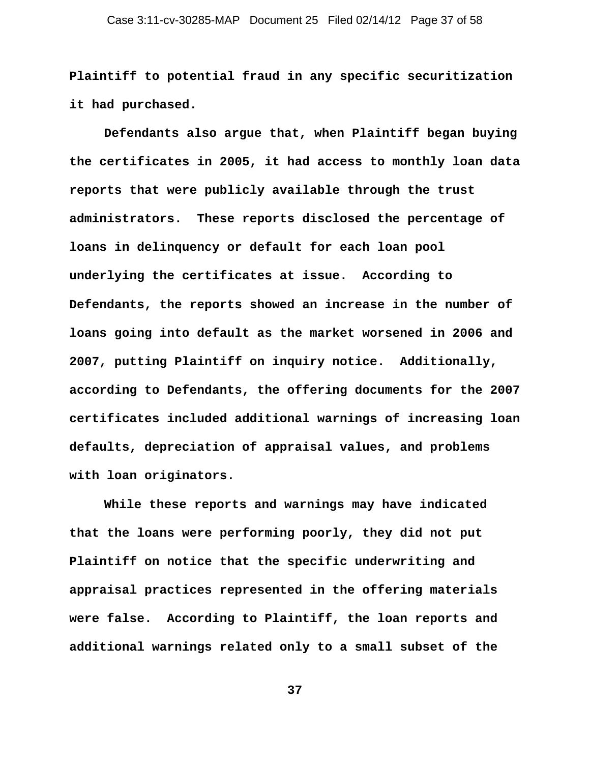**Plaintiff to potential fraud in any specific securitization it had purchased.** 

 **Defendants also argue that, when Plaintiff began buying the certificates in 2005, it had access to monthly loan data reports that were publicly available through the trust administrators. These reports disclosed the percentage of loans in delinquency or default for each loan pool underlying the certificates at issue. According to Defendants, the reports showed an increase in the number of loans going into default as the market worsened in 2006 and 2007, putting Plaintiff on inquiry notice. Additionally, according to Defendants, the offering documents for the 2007 certificates included additional warnings of increasing loan defaults, depreciation of appraisal values, and problems with loan originators.**

**While these reports and warnings may have indicated that the loans were performing poorly, they did not put Plaintiff on notice that the specific underwriting and appraisal practices represented in the offering materials were false. According to Plaintiff, the loan reports and additional warnings related only to a small subset of the**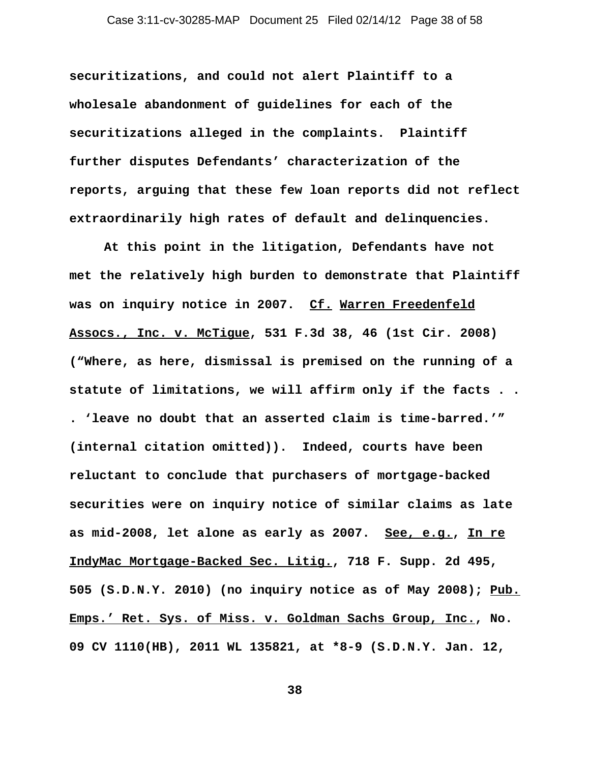**securitizations, and could not alert Plaintiff to a wholesale abandonment of guidelines for each of the securitizations alleged in the complaints. Plaintiff further disputes Defendants' characterization of the reports, arguing that these few loan reports did not reflect extraordinarily high rates of default and delinquencies.** 

**At this point in the litigation, Defendants have not met the relatively high burden to demonstrate that Plaintiff was on inquiry notice in 2007. Cf. Warren Freedenfeld Assocs., Inc. v. McTigue, 531 F.3d 38, 46 (1st Cir. 2008) ("Where, as here, dismissal is premised on the running of a statute of limitations, we will affirm only if the facts . . . 'leave no doubt that an asserted claim is time-barred.'" (internal citation omitted)). Indeed, courts have been reluctant to conclude that purchasers of mortgage-backed securities were on inquiry notice of similar claims as late as mid-2008, let alone as early as 2007. See, e.g., In re IndyMac Mortgage-Backed Sec. Litig., 718 F. Supp. 2d 495, 505 (S.D.N.Y. 2010) (no inquiry notice as of May 2008); Pub. Emps.' Ret. Sys. of Miss. v. Goldman Sachs Group, Inc., No. 09 CV 1110(HB), 2011 WL 135821, at \*8-9 (S.D.N.Y. Jan. 12,**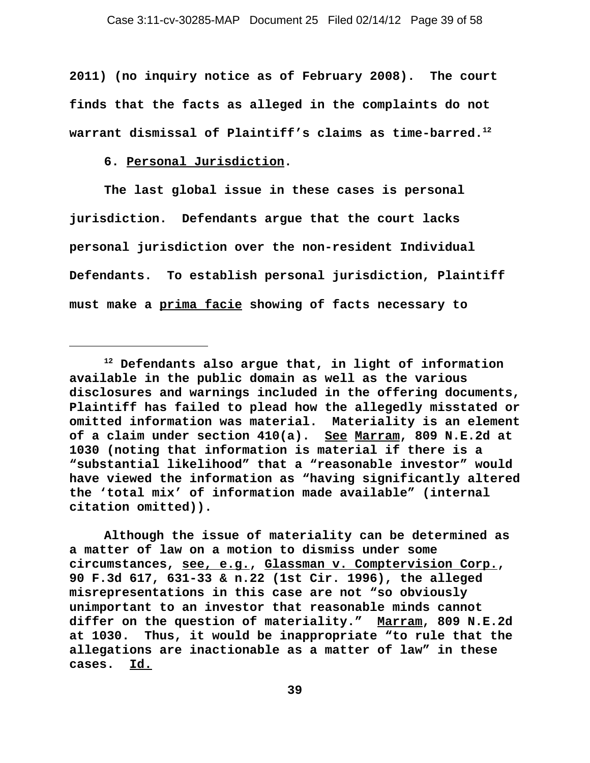**2011) (no inquiry notice as of February 2008). The court finds that the facts as alleged in the complaints do not warrant dismissal of Plaintiff's claims as time-barred.12** 

**6. Personal Jurisdiction.**

**The last global issue in these cases is personal jurisdiction. Defendants argue that the court lacks personal jurisdiction over the non-resident Individual Defendants. To establish personal jurisdiction, Plaintiff must make a prima facie showing of facts necessary to**

**Although the issue of materiality can be determined as a matter of law on a motion to dismiss under some circumstances, see, e.g., Glassman v. Comptervision Corp., 90 F.3d 617, 631-33 & n.22 (1st Cir. 1996), the alleged misrepresentations in this case are not "so obviously unimportant to an investor that reasonable minds cannot differ on the question of materiality." Marram, 809 N.E.2d at 1030. Thus, it would be inappropriate "to rule that the allegations are inactionable as a matter of law" in these cases. Id.** 

**<sup>12</sup> Defendants also argue that, in light of information available in the public domain as well as the various disclosures and warnings included in the offering documents, Plaintiff has failed to plead how the allegedly misstated or omitted information was material. Materiality is an element of a claim under section 410(a). See Marram, 809 N.E.2d at 1030 (noting that information is material if there is a "substantial likelihood" that a "reasonable investor" would have viewed the information as "having significantly altered the 'total mix' of information made available" (internal citation omitted)).**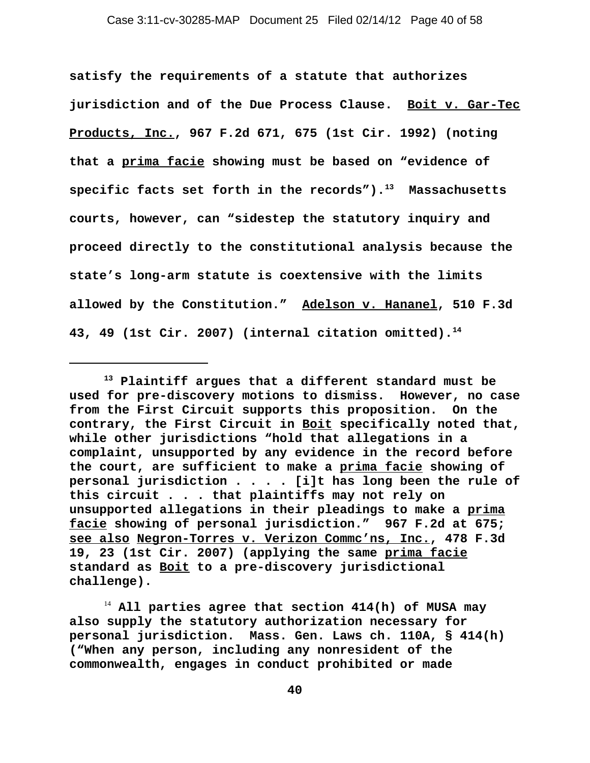**satisfy the requirements of a statute that authorizes jurisdiction and of the Due Process Clause. Boit v. Gar-Tec Products, Inc., 967 F.2d 671, 675 (1st Cir. 1992) (noting that a prima facie showing must be based on "evidence of specific facts set forth in the records").13 Massachusetts courts, however, can "sidestep the statutory inquiry and proceed directly to the constitutional analysis because the state's long-arm statute is coextensive with the limits allowed by the Constitution." Adelson v. Hananel, 510 F.3d 43, 49 (1st Cir. 2007) (internal citation omitted).14**

**<sup>13</sup> Plaintiff argues that a different standard must be used for pre-discovery motions to dismiss. However, no case from the First Circuit supports this proposition. On the contrary, the First Circuit in Boit specifically noted that, while other jurisdictions "hold that allegations in a complaint, unsupported by any evidence in the record before the court, are sufficient to make a prima facie showing of personal jurisdiction . . . . [i]t has long been the rule of this circuit . . . that plaintiffs may not rely on unsupported allegations in their pleadings to make a prima facie showing of personal jurisdiction." 967 F.2d at 675; see also Negron-Torres v. Verizon Commc'ns, Inc., 478 F.3d 19, 23 (1st Cir. 2007) (applying the same prima facie standard as Boit to a pre-discovery jurisdictional challenge).** 

<sup>14</sup> **All parties agree that section 414(h) of MUSA may also supply the statutory authorization necessary for personal jurisdiction. Mass. Gen. Laws ch. 110A, § 414(h) ("When any person, including any nonresident of the commonwealth, engages in conduct prohibited or made**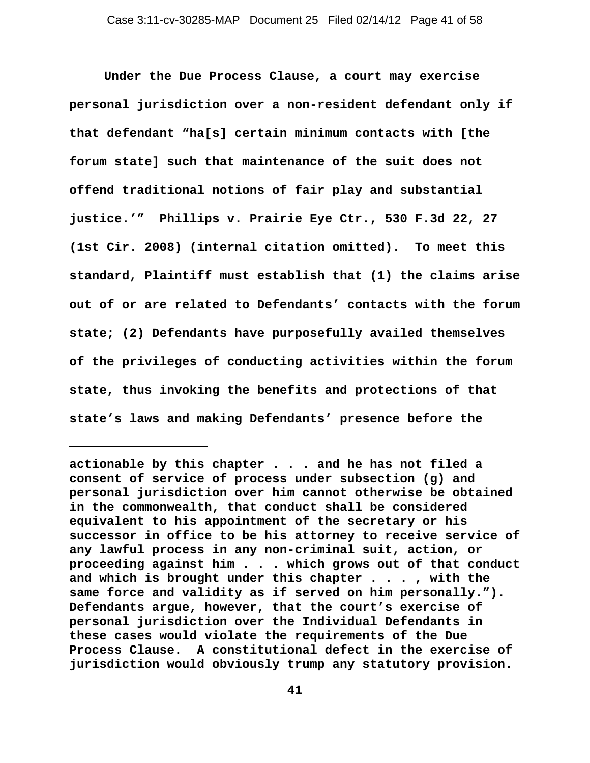**Under the Due Process Clause, a court may exercise personal jurisdiction over a non-resident defendant only if that defendant "ha[s] certain minimum contacts with [the forum state] such that maintenance of the suit does not offend traditional notions of fair play and substantial justice.'" Phillips v. Prairie Eye Ctr., 530 F.3d 22, 27 (1st Cir. 2008) (internal citation omitted). To meet this standard, Plaintiff must establish that (1) the claims arise out of or are related to Defendants' contacts with the forum state; (2) Defendants have purposefully availed themselves of the privileges of conducting activities within the forum state, thus invoking the benefits and protections of that state's laws and making Defendants' presence before the**

**actionable by this chapter . . . and he has not filed a consent of service of process under subsection (g) and personal jurisdiction over him cannot otherwise be obtained in the commonwealth, that conduct shall be considered equivalent to his appointment of the secretary or his successor in office to be his attorney to receive service of any lawful process in any non-criminal suit, action, or proceeding against him . . . which grows out of that conduct and which is brought under this chapter . . . , with the same force and validity as if served on him personally."). Defendants argue, however, that the court's exercise of personal jurisdiction over the Individual Defendants in these cases would violate the requirements of the Due Process Clause. A constitutional defect in the exercise of jurisdiction would obviously trump any statutory provision.**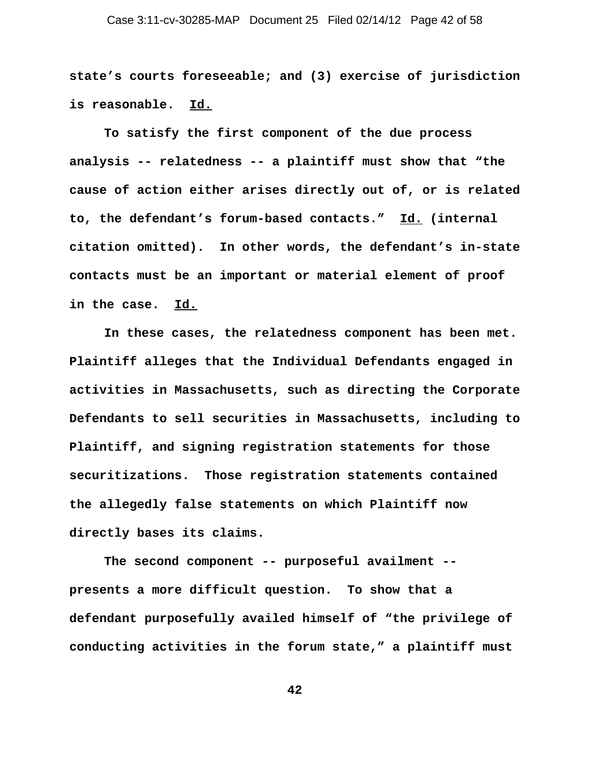## Case 3:11-cv-30285-MAP Document 25 Filed 02/14/12 Page 42 of 58

**state's courts foreseeable; and (3) exercise of jurisdiction is reasonable. Id.** 

**To satisfy the first component of the due process analysis -- relatedness -- a plaintiff must show that "the cause of action either arises directly out of, or is related to, the defendant's forum-based contacts." Id. (internal citation omitted). In other words, the defendant's in-state contacts must be an important or material element of proof in the case. Id.**

**In these cases, the relatedness component has been met. Plaintiff alleges that the Individual Defendants engaged in activities in Massachusetts, such as directing the Corporate Defendants to sell securities in Massachusetts, including to Plaintiff, and signing registration statements for those securitizations. Those registration statements contained the allegedly false statements on which Plaintiff now directly bases its claims.** 

**The second component -- purposeful availment - presents a more difficult question. To show that a defendant purposefully availed himself of "the privilege of conducting activities in the forum state," a plaintiff must**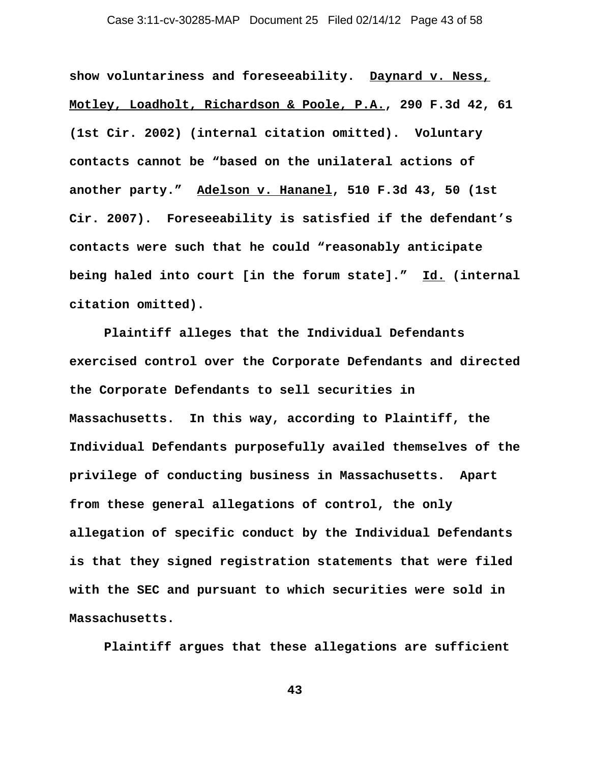## Case 3:11-cv-30285-MAP Document 25 Filed 02/14/12 Page 43 of 58

**show voluntariness and foreseeability. Daynard v. Ness, Motley, Loadholt, Richardson & Poole, P.A., 290 F.3d 42, 61 (1st Cir. 2002) (internal citation omitted). Voluntary contacts cannot be "based on the unilateral actions of another party." Adelson v. Hananel, 510 F.3d 43, 50 (1st Cir. 2007). Foreseeability is satisfied if the defendant's contacts were such that he could "reasonably anticipate being haled into court [in the forum state]." Id. (internal citation omitted).** 

**Plaintiff alleges that the Individual Defendants exercised control over the Corporate Defendants and directed the Corporate Defendants to sell securities in Massachusetts. In this way, according to Plaintiff, the Individual Defendants purposefully availed themselves of the privilege of conducting business in Massachusetts. Apart from these general allegations of control, the only allegation of specific conduct by the Individual Defendants is that they signed registration statements that were filed with the SEC and pursuant to which securities were sold in Massachusetts.** 

**Plaintiff argues that these allegations are sufficient**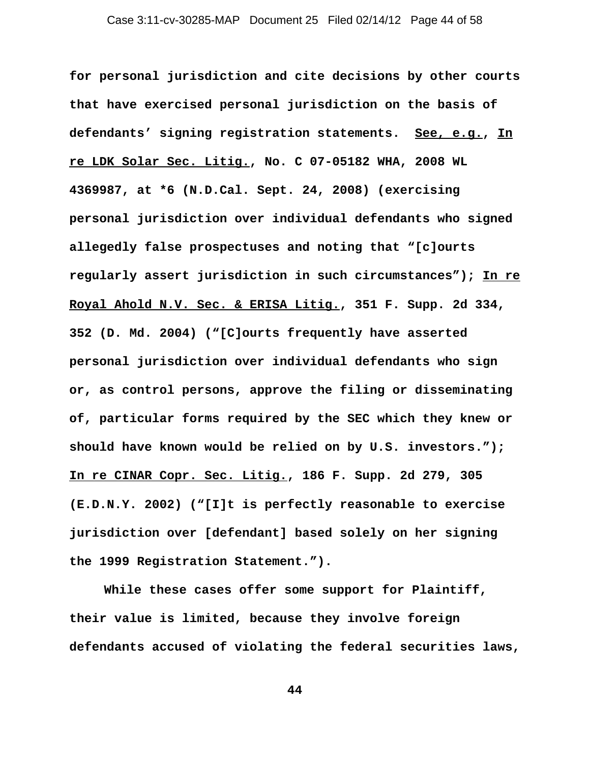**for personal jurisdiction and cite decisions by other courts that have exercised personal jurisdiction on the basis of defendants' signing registration statements. See, e.g., In re LDK Solar Sec. Litig., No. C 07-05182 WHA, 2008 WL 4369987, at \*6 (N.D.Cal. Sept. 24, 2008) (exercising personal jurisdiction over individual defendants who signed allegedly false prospectuses and noting that "[c]ourts regularly assert jurisdiction in such circumstances"); In re Royal Ahold N.V. Sec. & ERISA Litig., 351 F. Supp. 2d 334, 352 (D. Md. 2004) ("[C]ourts frequently have asserted personal jurisdiction over individual defendants who sign or, as control persons, approve the filing or disseminating of, particular forms required by the SEC which they knew or should have known would be relied on by U.S. investors."); In re CINAR Copr. Sec. Litig., 186 F. Supp. 2d 279, 305 (E.D.N.Y. 2002) ("[I]t is perfectly reasonable to exercise jurisdiction over [defendant] based solely on her signing the 1999 Registration Statement.").** 

**While these cases offer some support for Plaintiff, their value is limited, because they involve foreign defendants accused of violating the federal securities laws,**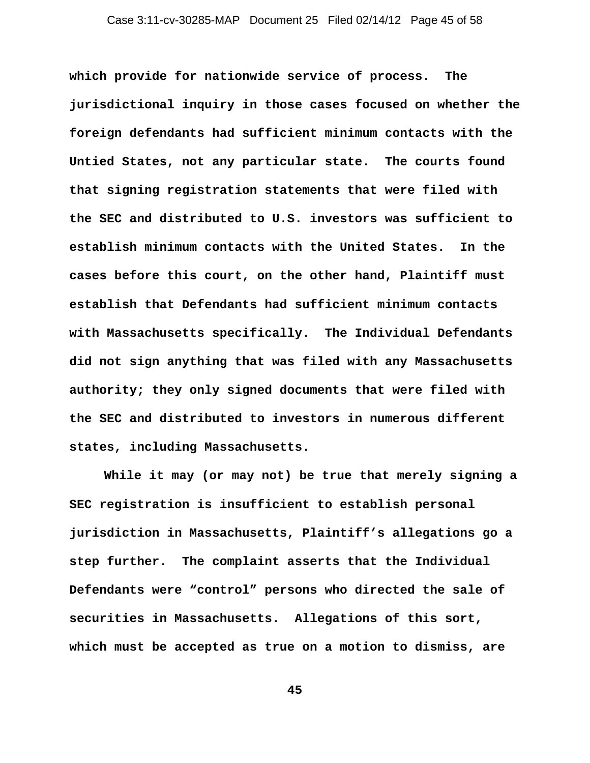**which provide for nationwide service of process. The jurisdictional inquiry in those cases focused on whether the foreign defendants had sufficient minimum contacts with the Untied States, not any particular state. The courts found that signing registration statements that were filed with the SEC and distributed to U.S. investors was sufficient to establish minimum contacts with the United States. In the cases before this court, on the other hand, Plaintiff must establish that Defendants had sufficient minimum contacts with Massachusetts specifically. The Individual Defendants did not sign anything that was filed with any Massachusetts authority; they only signed documents that were filed with the SEC and distributed to investors in numerous different states, including Massachusetts.** 

**While it may (or may not) be true that merely signing a SEC registration is insufficient to establish personal jurisdiction in Massachusetts, Plaintiff's allegations go a step further. The complaint asserts that the Individual Defendants were "control" persons who directed the sale of securities in Massachusetts. Allegations of this sort, which must be accepted as true on a motion to dismiss, are**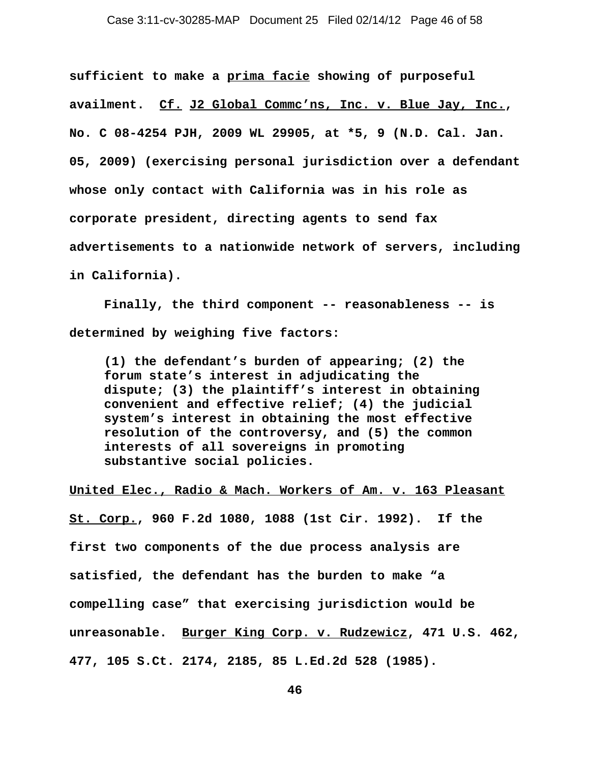**sufficient to make a prima facie showing of purposeful availment. Cf. J2 Global Commc'ns, Inc. v. Blue Jay, Inc., No. C 08-4254 PJH, 2009 WL 29905, at \*5, 9 (N.D. Cal. Jan. 05, 2009) (exercising personal jurisdiction over a defendant whose only contact with California was in his role as corporate president, directing agents to send fax advertisements to a nationwide network of servers, including in California).** 

**Finally, the third component -- reasonableness -- is determined by weighing five factors:** 

**(1) the defendant's burden of appearing; (2) the forum state's interest in adjudicating the dispute; (3) the plaintiff's interest in obtaining convenient and effective relief; (4) the judicial system's interest in obtaining the most effective resolution of the controversy, and (5) the common interests of all sovereigns in promoting substantive social policies.**

#### **United Elec., Radio & Mach. Workers of Am. v. 163 Pleasant**

**St. Corp., 960 F.2d 1080, 1088 (1st Cir. 1992). If the first two components of the due process analysis are satisfied, the defendant has the burden to make "a compelling case" that exercising jurisdiction would be unreasonable. Burger King Corp. v. Rudzewicz, 471 U.S. 462, 477, 105 S.Ct. 2174, 2185, 85 L.Ed.2d 528 (1985).**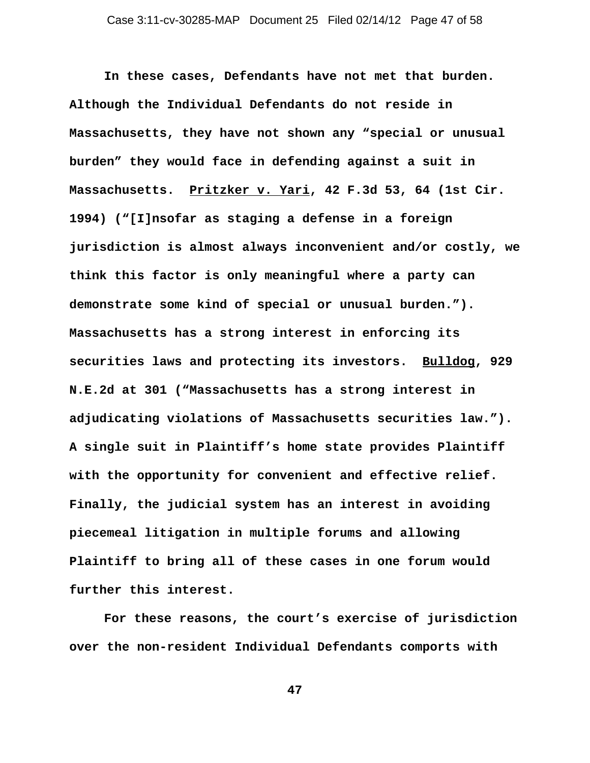**In these cases, Defendants have not met that burden. Although the Individual Defendants do not reside in Massachusetts, they have not shown any "special or unusual burden" they would face in defending against a suit in Massachusetts. Pritzker v. Yari, 42 F.3d 53, 64 (1st Cir. 1994) ("[I]nsofar as staging a defense in a foreign jurisdiction is almost always inconvenient and/or costly, we think this factor is only meaningful where a party can demonstrate some kind of special or unusual burden."). Massachusetts has a strong interest in enforcing its securities laws and protecting its investors. Bulldog, 929 N.E.2d at 301 ("Massachusetts has a strong interest in adjudicating violations of Massachusetts securities law."). A single suit in Plaintiff's home state provides Plaintiff with the opportunity for convenient and effective relief. Finally, the judicial system has an interest in avoiding piecemeal litigation in multiple forums and allowing Plaintiff to bring all of these cases in one forum would further this interest.** 

**For these reasons, the court's exercise of jurisdiction over the non-resident Individual Defendants comports with**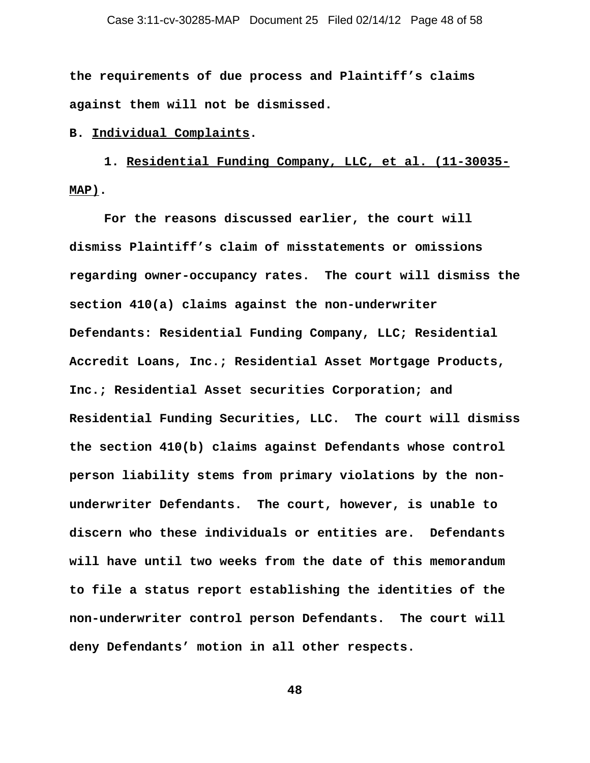**the requirements of due process and Plaintiff's claims against them will not be dismissed.** 

**B. Individual Complaints.**

**1. Residential Funding Company, LLC, et al. (11-30035- MAP).**

**For the reasons discussed earlier, the court will dismiss Plaintiff's claim of misstatements or omissions regarding owner-occupancy rates. The court will dismiss the section 410(a) claims against the non-underwriter Defendants: Residential Funding Company, LLC; Residential Accredit Loans, Inc.; Residential Asset Mortgage Products, Inc.; Residential Asset securities Corporation; and Residential Funding Securities, LLC. The court will dismiss the section 410(b) claims against Defendants whose control person liability stems from primary violations by the nonunderwriter Defendants. The court, however, is unable to discern who these individuals or entities are. Defendants will have until two weeks from the date of this memorandum to file a status report establishing the identities of the non-underwriter control person Defendants. The court will deny Defendants' motion in all other respects.**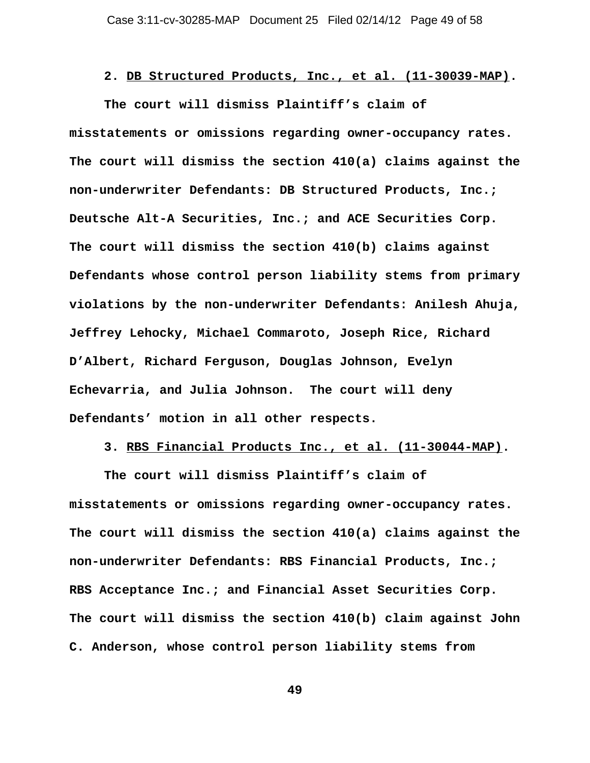**2. DB Structured Products, Inc., et al. (11-30039-MAP).**

**The court will dismiss Plaintiff's claim of misstatements or omissions regarding owner-occupancy rates. The court will dismiss the section 410(a) claims against the non-underwriter Defendants: DB Structured Products, Inc.; Deutsche Alt-A Securities, Inc.; and ACE Securities Corp. The court will dismiss the section 410(b) claims against Defendants whose control person liability stems from primary violations by the non-underwriter Defendants: Anilesh Ahuja, Jeffrey Lehocky, Michael Commaroto, Joseph Rice, Richard D'Albert, Richard Ferguson, Douglas Johnson, Evelyn Echevarria, and Julia Johnson. The court will deny Defendants' motion in all other respects.** 

**3. RBS Financial Products Inc., et al. (11-30044-MAP).**

**The court will dismiss Plaintiff's claim of misstatements or omissions regarding owner-occupancy rates. The court will dismiss the section 410(a) claims against the non-underwriter Defendants: RBS Financial Products, Inc.; RBS Acceptance Inc.; and Financial Asset Securities Corp. The court will dismiss the section 410(b) claim against John C. Anderson, whose control person liability stems from**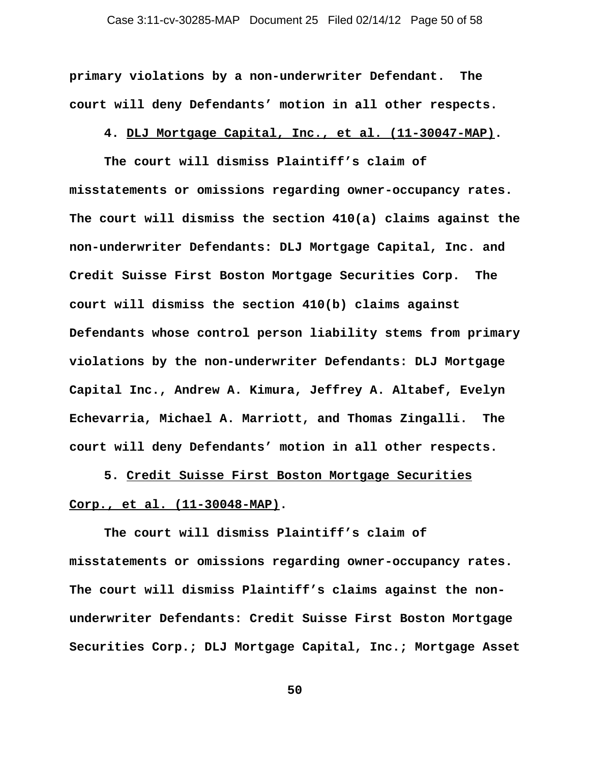**primary violations by a non-underwriter Defendant. The court will deny Defendants' motion in all other respects.** 

**4. DLJ Mortgage Capital, Inc., et al. (11-30047-MAP).**

**The court will dismiss Plaintiff's claim of misstatements or omissions regarding owner-occupancy rates. The court will dismiss the section 410(a) claims against the non-underwriter Defendants: DLJ Mortgage Capital, Inc. and Credit Suisse First Boston Mortgage Securities Corp. The court will dismiss the section 410(b) claims against Defendants whose control person liability stems from primary violations by the non-underwriter Defendants: DLJ Mortgage Capital Inc., Andrew A. Kimura, Jeffrey A. Altabef, Evelyn Echevarria, Michael A. Marriott, and Thomas Zingalli. The court will deny Defendants' motion in all other respects.**

**5. Credit Suisse First Boston Mortgage Securities Corp., et al. (11-30048-MAP).**

**The court will dismiss Plaintiff's claim of misstatements or omissions regarding owner-occupancy rates. The court will dismiss Plaintiff's claims against the nonunderwriter Defendants: Credit Suisse First Boston Mortgage Securities Corp.; DLJ Mortgage Capital, Inc.; Mortgage Asset**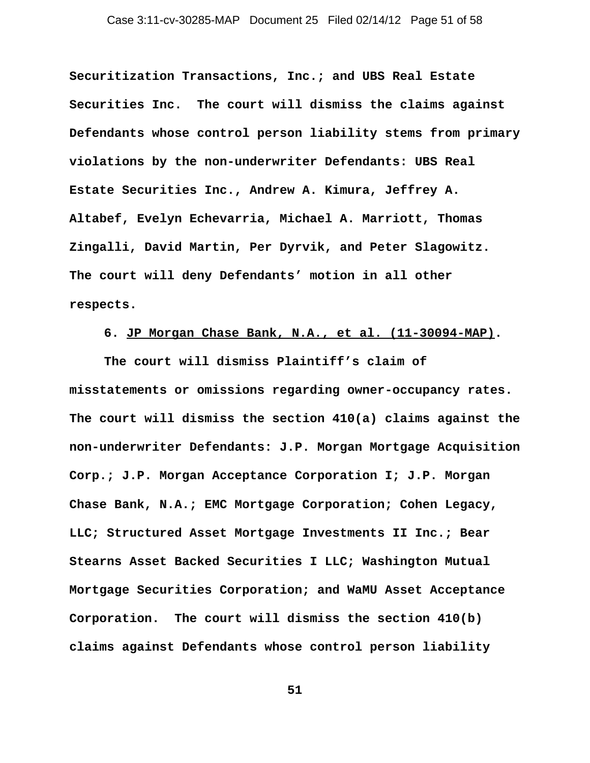**Securitization Transactions, Inc.; and UBS Real Estate Securities Inc. The court will dismiss the claims against Defendants whose control person liability stems from primary violations by the non-underwriter Defendants: UBS Real Estate Securities Inc., Andrew A. Kimura, Jeffrey A. Altabef, Evelyn Echevarria, Michael A. Marriott, Thomas Zingalli, David Martin, Per Dyrvik, and Peter Slagowitz. The court will deny Defendants' motion in all other respects.**

# **6. JP Morgan Chase Bank, N.A., et al. (11-30094-MAP).**

**The court will dismiss Plaintiff's claim of misstatements or omissions regarding owner-occupancy rates. The court will dismiss the section 410(a) claims against the non-underwriter Defendants: J.P. Morgan Mortgage Acquisition Corp.; J.P. Morgan Acceptance Corporation I; J.P. Morgan Chase Bank, N.A.; EMC Mortgage Corporation; Cohen Legacy, LLC; Structured Asset Mortgage Investments II Inc.; Bear Stearns Asset Backed Securities I LLC; Washington Mutual Mortgage Securities Corporation; and WaMU Asset Acceptance Corporation. The court will dismiss the section 410(b) claims against Defendants whose control person liability**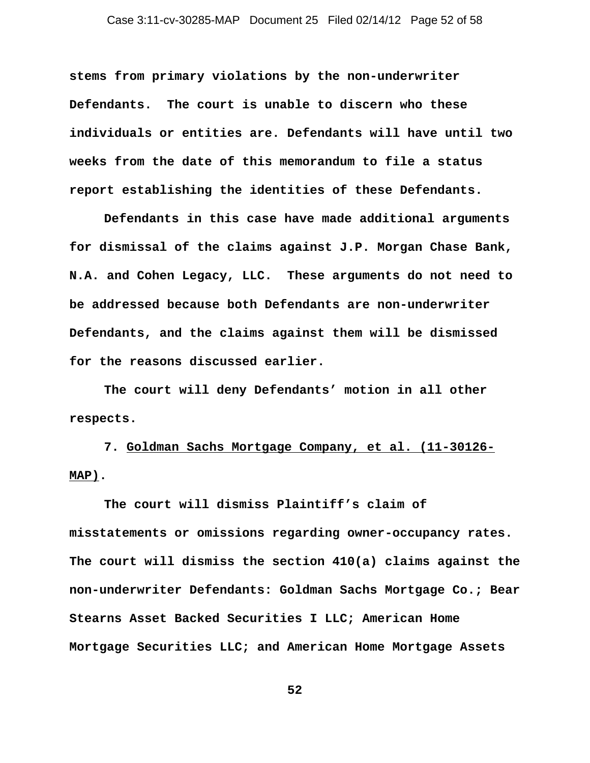**stems from primary violations by the non-underwriter Defendants. The court is unable to discern who these individuals or entities are. Defendants will have until two weeks from the date of this memorandum to file a status report establishing the identities of these Defendants.** 

**Defendants in this case have made additional arguments for dismissal of the claims against J.P. Morgan Chase Bank, N.A. and Cohen Legacy, LLC. These arguments do not need to be addressed because both Defendants are non-underwriter Defendants, and the claims against them will be dismissed for the reasons discussed earlier.** 

**The court will deny Defendants' motion in all other respects.**

**7. Goldman Sachs Mortgage Company, et al. (11-30126- MAP).**

**The court will dismiss Plaintiff's claim of misstatements or omissions regarding owner-occupancy rates. The court will dismiss the section 410(a) claims against the non-underwriter Defendants: Goldman Sachs Mortgage Co.; Bear Stearns Asset Backed Securities I LLC; American Home Mortgage Securities LLC; and American Home Mortgage Assets**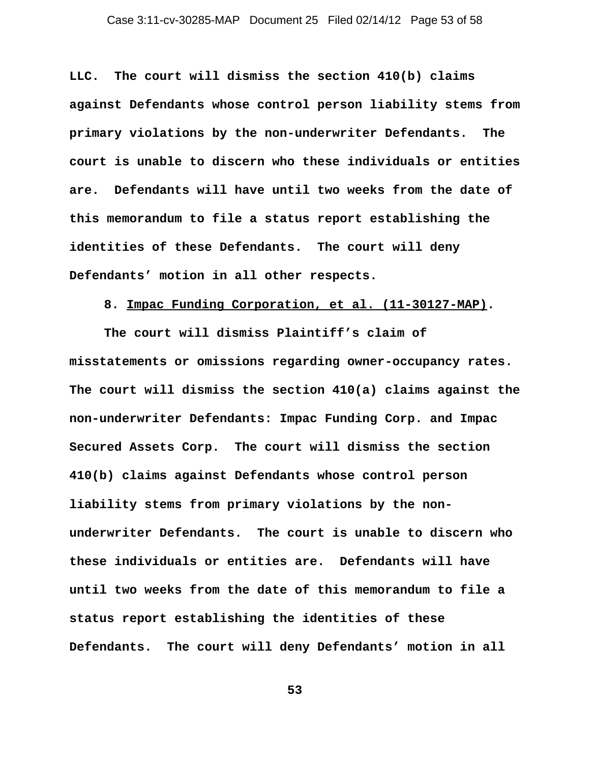**LLC. The court will dismiss the section 410(b) claims against Defendants whose control person liability stems from primary violations by the non-underwriter Defendants. The court is unable to discern who these individuals or entities are. Defendants will have until two weeks from the date of this memorandum to file a status report establishing the identities of these Defendants. The court will deny Defendants' motion in all other respects.**

## **8. Impac Funding Corporation, et al. (11-30127-MAP).**

**The court will dismiss Plaintiff's claim of misstatements or omissions regarding owner-occupancy rates. The court will dismiss the section 410(a) claims against the non-underwriter Defendants: Impac Funding Corp. and Impac Secured Assets Corp. The court will dismiss the section 410(b) claims against Defendants whose control person liability stems from primary violations by the nonunderwriter Defendants. The court is unable to discern who these individuals or entities are. Defendants will have until two weeks from the date of this memorandum to file a status report establishing the identities of these Defendants. The court will deny Defendants' motion in all**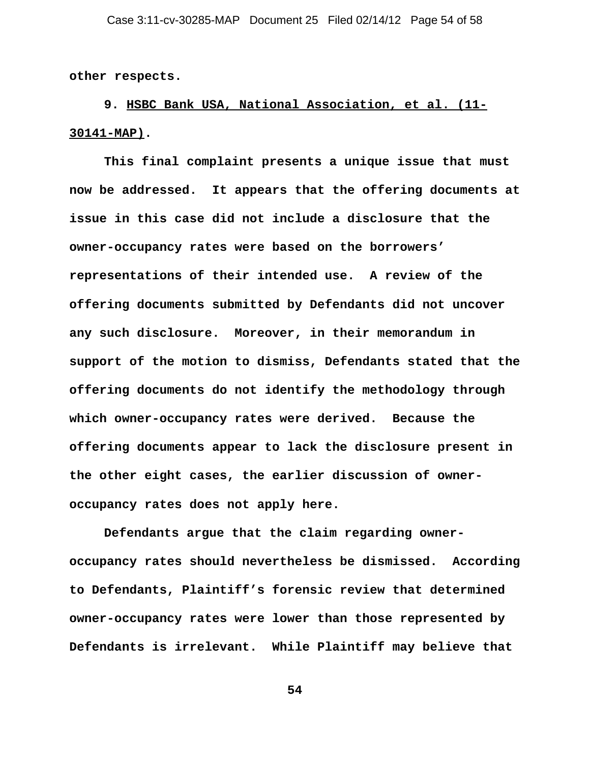**other respects.**

**9. HSBC Bank USA, National Association, et al. (11- 30141-MAP).**

**This final complaint presents a unique issue that must now be addressed. It appears that the offering documents at issue in this case did not include a disclosure that the owner-occupancy rates were based on the borrowers' representations of their intended use. A review of the offering documents submitted by Defendants did not uncover any such disclosure. Moreover, in their memorandum in support of the motion to dismiss, Defendants stated that the offering documents do not identify the methodology through which owner-occupancy rates were derived. Because the offering documents appear to lack the disclosure present in the other eight cases, the earlier discussion of owneroccupancy rates does not apply here.**

**Defendants argue that the claim regarding owneroccupancy rates should nevertheless be dismissed. According to Defendants, Plaintiff's forensic review that determined owner-occupancy rates were lower than those represented by Defendants is irrelevant. While Plaintiff may believe that**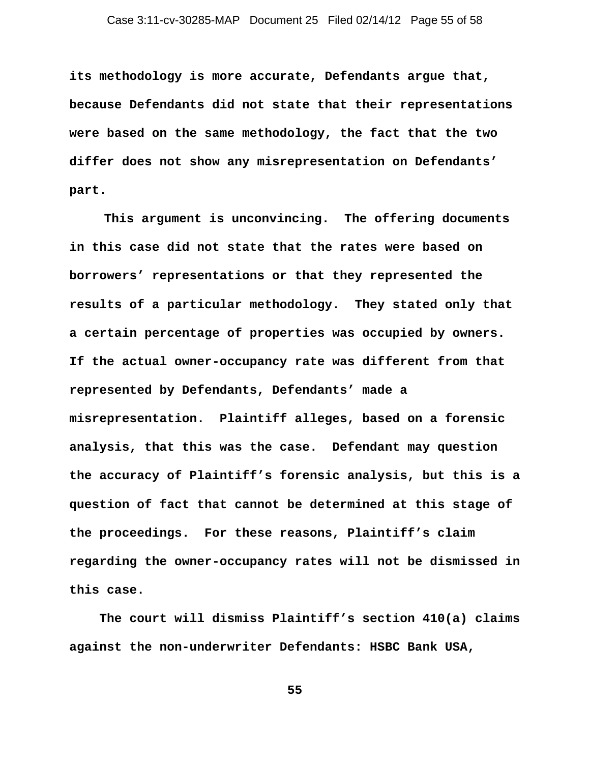**its methodology is more accurate, Defendants argue that, because Defendants did not state that their representations were based on the same methodology, the fact that the two differ does not show any misrepresentation on Defendants' part.** 

**This argument is unconvincing. The offering documents in this case did not state that the rates were based on borrowers' representations or that they represented the results of a particular methodology. They stated only that a certain percentage of properties was occupied by owners. If the actual owner-occupancy rate was different from that represented by Defendants, Defendants' made a misrepresentation. Plaintiff alleges, based on a forensic analysis, that this was the case. Defendant may question the accuracy of Plaintiff's forensic analysis, but this is a question of fact that cannot be determined at this stage of the proceedings. For these reasons, Plaintiff's claim regarding the owner-occupancy rates will not be dismissed in this case.** 

 **The court will dismiss Plaintiff's section 410(a) claims against the non-underwriter Defendants: HSBC Bank USA,**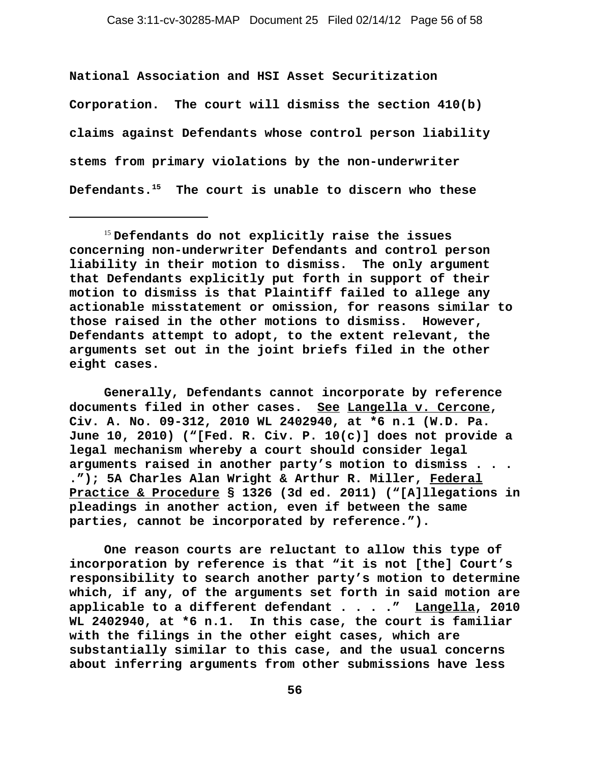**National Association and HSI Asset Securitization Corporation. The court will dismiss the section 410(b) claims against Defendants whose control person liability stems from primary violations by the non-underwriter Defendants.15 The court is unable to discern who these**

**Generally, Defendants cannot incorporate by reference documents filed in other cases. See Langella v. Cercone, Civ. A. No. 09-312, 2010 WL 2402940, at \*6 n.1 (W.D. Pa. June 10, 2010) ("[Fed. R. Civ. P. 10(c)] does not provide a legal mechanism whereby a court should consider legal arguments raised in another party's motion to dismiss . . . ."); 5A Charles Alan Wright & Arthur R. Miller, Federal Practice & Procedure § 1326 (3d ed. 2011) ("[A]llegations in pleadings in another action, even if between the same parties, cannot be incorporated by reference.").** 

**One reason courts are reluctant to allow this type of incorporation by reference is that "it is not [the] Court's responsibility to search another party's motion to determine which, if any, of the arguments set forth in said motion are applicable to a different defendant . . . ." Langella, 2010 WL 2402940, at \*6 n.1. In this case, the court is familiar with the filings in the other eight cases, which are substantially similar to this case, and the usual concerns about inferring arguments from other submissions have less**

<sup>15</sup> **Defendants do not explicitly raise the issues concerning non-underwriter Defendants and control person liability in their motion to dismiss. The only argument that Defendants explicitly put forth in support of their motion to dismiss is that Plaintiff failed to allege any actionable misstatement or omission, for reasons similar to those raised in the other motions to dismiss. However, Defendants attempt to adopt, to the extent relevant, the arguments set out in the joint briefs filed in the other eight cases.**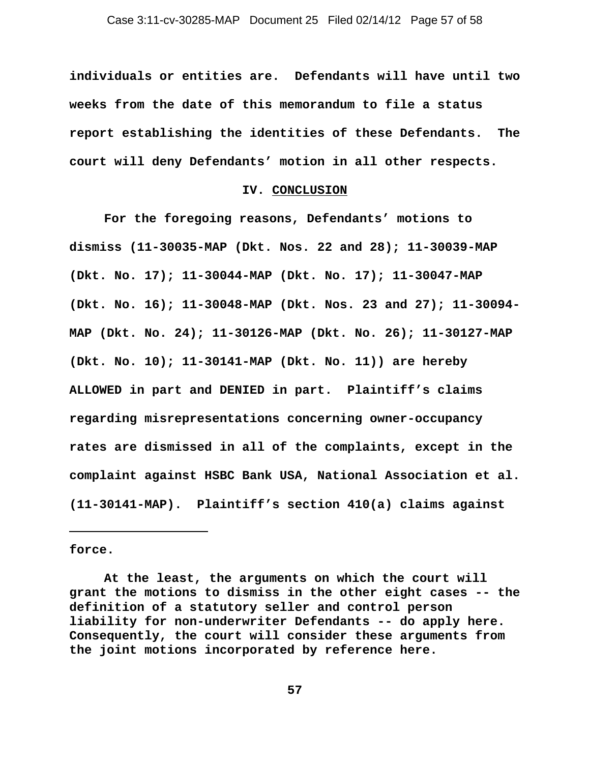**individuals or entities are. Defendants will have until two weeks from the date of this memorandum to file a status report establishing the identities of these Defendants. The court will deny Defendants' motion in all other respects.** 

#### **IV. CONCLUSION**

**For the foregoing reasons, Defendants' motions to dismiss (11-30035-MAP (Dkt. Nos. 22 and 28); 11-30039-MAP (Dkt. No. 17); 11-30044-MAP (Dkt. No. 17); 11-30047-MAP (Dkt. No. 16); 11-30048-MAP (Dkt. Nos. 23 and 27); 11-30094- MAP (Dkt. No. 24); 11-30126-MAP (Dkt. No. 26); 11-30127-MAP (Dkt. No. 10); 11-30141-MAP (Dkt. No. 11)) are hereby ALLOWED in part and DENIED in part. Plaintiff's claims regarding misrepresentations concerning owner-occupancy rates are dismissed in all of the complaints, except in the complaint against HSBC Bank USA, National Association et al. (11-30141-MAP). Plaintiff's section 410(a) claims against**

**force.**

**At the least, the arguments on which the court will grant the motions to dismiss in the other eight cases -- the definition of a statutory seller and control person liability for non-underwriter Defendants -- do apply here. Consequently, the court will consider these arguments from the joint motions incorporated by reference here.**